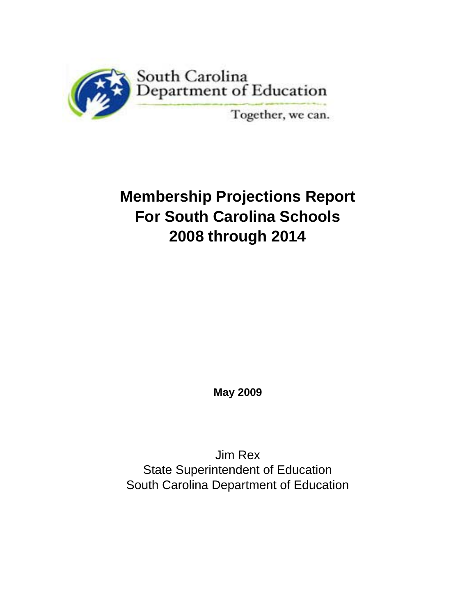

# **Membership Projections Report For South Carolina Schools 2008 through 2014**

**May 2009**

Jim Rex State Superintendent of Education South Carolina Department of Education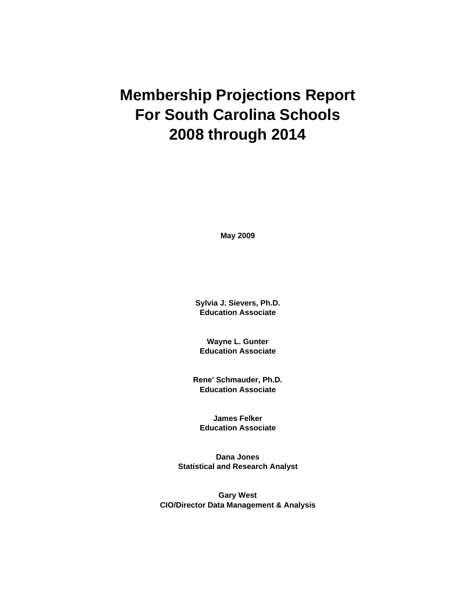# **Membership Projections Report For South Carolina Schools 2008 through 2014**

**May 2009**

**Sylvia J. Sievers, Ph.D. Education Associate**

**Wayne L. Gunter Education Associate**

**Rene' Schmauder, Ph.D. Education Associate**

**James Felker Education Associate**

**Dana Jones Statistical and Research Analyst**

**Gary West CIO/Director Data Management & Analysis**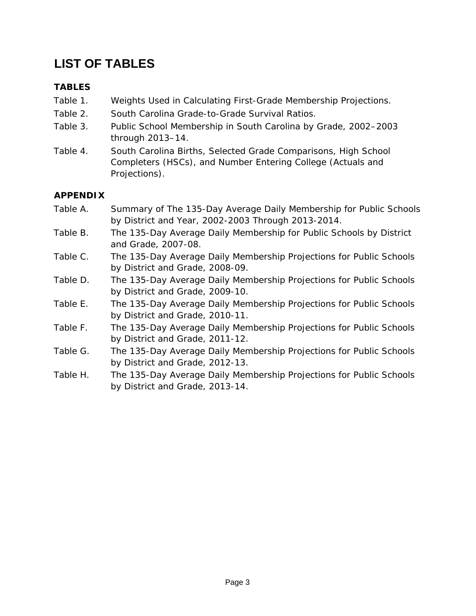# **LIST OF TABLES**

### **TABLES**

- Table 1. Weights Used in Calculating First-Grade Membership Projections.
- Table 2. South Carolina Grade-to-Grade Survival Ratios.
- Table 3. Public School Membership in South Carolina by Grade, 2002–2003 through 2013–14.
- Table 4. South Carolina Births, Selected Grade Comparisons, High School Completers (HSCs), and Number Entering College (Actuals and Projections).

### **APPENDIX**

- Table A. Summary of The 135-Day Average Daily Membership for Public Schools by District and Year, 2002-2003 Through 2013-2014.
- Table B. The 135-Day Average Daily Membership for Public Schools by District and Grade, 2007-08.
- Table C. The 135-Day Average Daily Membership Projections for Public Schools by District and Grade, 2008-09.
- Table D. The 135-Day Average Daily Membership Projections for Public Schools by District and Grade, 2009-10.
- Table E. The 135-Day Average Daily Membership Projections for Public Schools by District and Grade, 2010-11.
- Table F. The 135-Day Average Daily Membership Projections for Public Schools by District and Grade, 2011-12.
- Table G. The 135-Day Average Daily Membership Projections for Public Schools by District and Grade, 2012-13.
- Table H. The 135-Day Average Daily Membership Projections for Public Schools by District and Grade, 2013-14.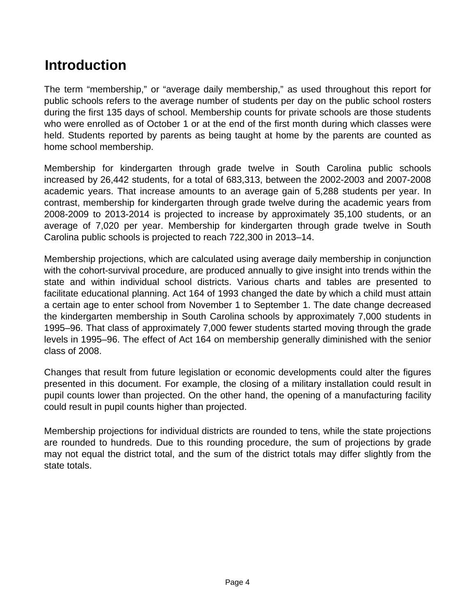# **Introduction**

The term "membership," or "average daily membership," as used throughout this report for public schools refers to the average number of students per day on the public school rosters during the first 135 days of school. Membership counts for private schools are those students who were enrolled as of October 1 or at the end of the first month during which classes were held. Students reported by parents as being taught at home by the parents are counted as home school membership.

Membership for kindergarten through grade twelve in South Carolina public schools increased by 26,442 students, for a total of 683,313, between the 2002-2003 and 2007-2008 academic years. That increase amounts to an average gain of 5,288 students per year. In contrast, membership for kindergarten through grade twelve during the academic years from 2008-2009 to 2013-2014 is projected to increase by approximately 35,100 students, or an average of 7,020 per year. Membership for kindergarten through grade twelve in South Carolina public schools is projected to reach 722,300 in 2013–14.

Membership projections, which are calculated using average daily membership in conjunction with the cohort-survival procedure, are produced annually to give insight into trends within the state and within individual school districts. Various charts and tables are presented to facilitate educational planning. Act 164 of 1993 changed the date by which a child must attain a certain age to enter school from November 1 to September 1. The date change decreased the kindergarten membership in South Carolina schools by approximately 7,000 students in 1995–96. That class of approximately 7,000 fewer students started moving through the grade levels in 1995–96. The effect of Act 164 on membership generally diminished with the senior class of 2008.

Changes that result from future legislation or economic developments could alter the figures presented in this document. For example, the closing of a military installation could result in pupil counts lower than projected. On the other hand, the opening of a manufacturing facility could result in pupil counts higher than projected.

Membership projections for individual districts are rounded to tens, while the state projections are rounded to hundreds. Due to this rounding procedure, the sum of projections by grade may not equal the district total, and the sum of the district totals may differ slightly from the state totals.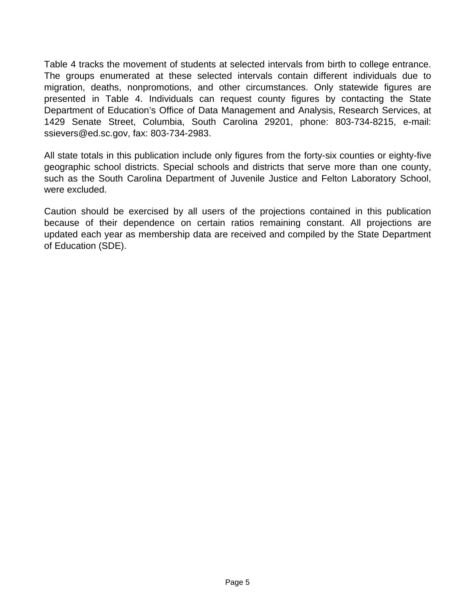Table 4 tracks the movement of students at selected intervals from birth to college entrance. The groups enumerated at these selected intervals contain different individuals due to migration, deaths, nonpromotions, and other circumstances. Only statewide figures are presented in Table 4. Individuals can request county figures by contacting the State Department of Education's Office of Data Management and Analysis, Research Services, at 1429 Senate Street, Columbia, South Carolina 29201, phone: 803-734-8215, e-mail: ssievers@ed.sc.gov, fax: 803-734-2983.

All state totals in this publication include only figures from the forty-six counties or eighty-five geographic school districts. Special schools and districts that serve more than one county, such as the South Carolina Department of Juvenile Justice and Felton Laboratory School, were excluded.

Caution should be exercised by all users of the projections contained in this publication because of their dependence on certain ratios remaining constant. All projections are updated each year as membership data are received and compiled by the State Department of Education (SDE).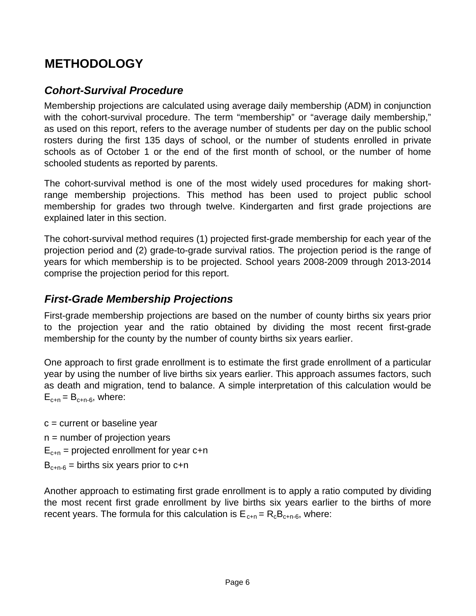# **METHODOLOGY**

# *Cohort-Survival Procedure*

Membership projections are calculated using average daily membership (ADM) in conjunction with the cohort-survival procedure. The term "membership" or "average daily membership," as used on this report, refers to the average number of students per day on the public school rosters during the first 135 days of school, or the number of students enrolled in private schools as of October 1 or the end of the first month of school, or the number of home schooled students as reported by parents.

The cohort-survival method is one of the most widely used procedures for making shortrange membership projections. This method has been used to project public school membership for grades two through twelve. Kindergarten and first grade projections are explained later in this section.

The cohort-survival method requires (1) projected first-grade membership for each year of the projection period and (2) grade-to-grade survival ratios. The projection period is the range of years for which membership is to be projected. School years 2008-2009 through 2013-2014 comprise the projection period for this report.

## *First-Grade Membership Projections*

First-grade membership projections are based on the number of county births six years prior to the projection year and the ratio obtained by dividing the most recent first-grade membership for the county by the number of county births six years earlier.

One approach to first grade enrollment is to estimate the first grade enrollment of a particular year by using the number of live births six years earlier. This approach assumes factors, such as death and migration, tend to balance. A simple interpretation of this calculation would be  $E_{c+n} = B_{c+n-6}$ , where:

 $c =$  current or baseline year  $n =$  number of projection years  $E_{c+n}$  = projected enrollment for year c+n  $B_{c+n-6}$  = births six years prior to c+n

Another approach to estimating first grade enrollment is to apply a ratio computed by dividing the most recent first grade enrollment by live births six years earlier to the births of more recent years. The formula for this calculation is  $E_{c+n} = R_c B_{c+n-6}$ , where: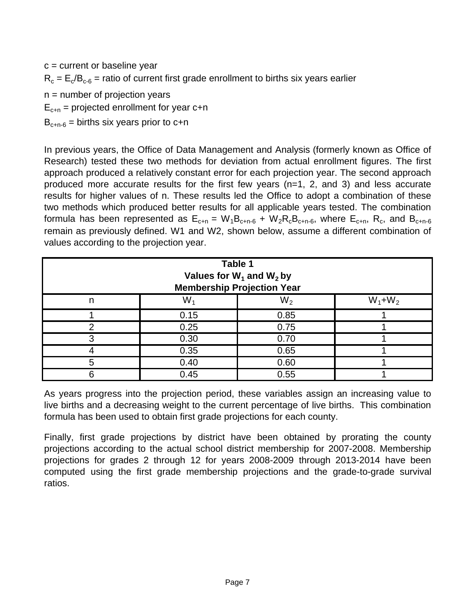$c =$  current or baseline year  $n =$  number of projection years  $E_{c+n}$  = projected enrollment for year c+n  $R_c = E_c/B_{c-6}$  = ratio of current first grade enrollment to births six years earlier

 $B_{c+n-6}$  = births six years prior to c+n

In previous years, the Office of Data Management and Analysis (formerly known as Office of Research) tested these two methods for deviation from actual enrollment figures. The first approach produced a relatively constant error for each projection year. The second approach produced more accurate results for the first few years (n=1, 2, and 3) and less accurate results for higher values of n. These results led the Office to adopt a combination of these two methods which produced better results for all applicable years tested. The combination formula has been represented as  $E_{c+n} = W_1B_{c+n-6} + W_2R_2B_{c+n-6}$ , where  $E_{c+n}$ ,  $R_c$ , and  $B_{c+n-6}$ remain as previously defined. W1 and W2, shown below, assume a different combination of values according to the projection year.

|                               | Table 1 | Values for $W_1$ and $W_2$ by<br><b>Membership Projection Year</b> |  |  |  |  |  |  |  |  |  |  |  |
|-------------------------------|---------|--------------------------------------------------------------------|--|--|--|--|--|--|--|--|--|--|--|
| $W_2$<br>$W_1+W_2$<br>W.<br>n |         |                                                                    |  |  |  |  |  |  |  |  |  |  |  |
|                               | 0.15    | 0.85                                                               |  |  |  |  |  |  |  |  |  |  |  |
|                               | 0.25    | 0.75                                                               |  |  |  |  |  |  |  |  |  |  |  |
|                               | 0.30    | 0.70                                                               |  |  |  |  |  |  |  |  |  |  |  |
|                               | 0.35    | 0.65                                                               |  |  |  |  |  |  |  |  |  |  |  |
|                               | 0.40    | 0.60                                                               |  |  |  |  |  |  |  |  |  |  |  |
|                               | 0.45    | 0.55                                                               |  |  |  |  |  |  |  |  |  |  |  |

As years progress into the projection period, these variables assign an increasing value to live births and a decreasing weight to the current percentage of live births. This combination formula has been used to obtain first grade projections for each county.

Finally, first grade projections by district have been obtained by prorating the county projections according to the actual school district membership for 2007-2008. Membership projections for grades 2 through 12 for years 2008-2009 through 2013-2014 have been computed using the first grade membership projections and the grade-to-grade survival ratios.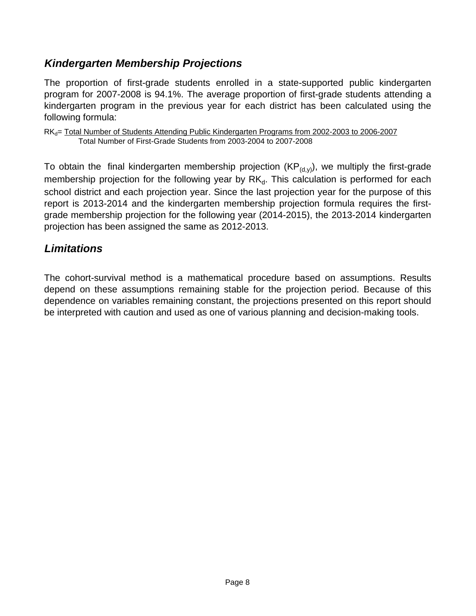# *Kindergarten Membership Projections*

The proportion of first-grade students enrolled in a state-supported public kindergarten program for 2007-2008 is 94.1%. The average proportion of first-grade students attending a kindergarten program in the previous year for each district has been calculated using the following formula:

 $RK<sub>d</sub>$  Total Number of Students Attending Public Kindergarten Programs from 2002-2003 to 2006-2007 Total Number of First-Grade Students from 2003-2004 to 2007-2008

To obtain the final kindergarten membership projection ( $KP_{(d,y)}$ ), we multiply the first-grade membership projection for the following year by  $RK_d$ . This calculation is performed for each school district and each projection year. Since the last projection year for the purpose of this report is 2013-2014 and the kindergarten membership projection formula requires the firstgrade membership projection for the following year (2014-2015), the 2013-2014 kindergarten projection has been assigned the same as 2012-2013.

## *Limitations*

The cohort-survival method is a mathematical procedure based on assumptions. Results depend on these assumptions remaining stable for the projection period. Because of this dependence on variables remaining constant, the projections presented on this report should be interpreted with caution and used as one of various planning and decision-making tools.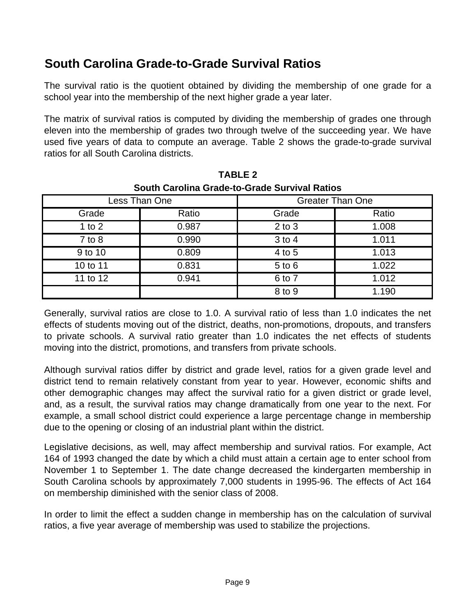# **South Carolina Grade-to-Grade Survival Ratios**

The survival ratio is the quotient obtained by dividing the membership of one grade for a school year into the membership of the next higher grade a year later.

The matrix of survival ratios is computed by dividing the membership of grades one through eleven into the membership of grades two through twelve of the succeeding year. We have used five years of data to compute an average. Table 2 shows the grade-to-grade survival ratios for all South Carolina districts.

|            | <u>SUULII CALUIIIIA GLAUG-LU-GLAUG SULVIVAL NALIUS</u> |            |                         |
|------------|--------------------------------------------------------|------------|-------------------------|
|            | Less Than One                                          |            | <b>Greater Than One</b> |
| Grade      | Ratio                                                  | Grade      | Ratio                   |
| 1 to $2$   | 0.987                                                  | $2$ to $3$ | 1.008                   |
| $7$ to $8$ | 0.990                                                  | 3 to 4     | 1.011                   |
| 9 to 10    | 0.809                                                  | 4 to 5     | 1.013                   |
| 10 to 11   | 0.831                                                  | 5 to 6     | 1.022                   |
| 11 to 12   | 0.941                                                  | 6 to 7     | 1.012                   |
|            |                                                        | 8 to 9     | 1.190                   |

**TABLE 2 South Carolina Grade-to-Grade Survival Ratios**

Generally, survival ratios are close to 1.0. A survival ratio of less than 1.0 indicates the net effects of students moving out of the district, deaths, non-promotions, dropouts, and transfers to private schools. A survival ratio greater than 1.0 indicates the net effects of students moving into the district, promotions, and transfers from private schools.

Although survival ratios differ by district and grade level, ratios for a given grade level and district tend to remain relatively constant from year to year. However, economic shifts and other demographic changes may affect the survival ratio for a given district or grade level, and, as a result, the survival ratios may change dramatically from one year to the next. For example, a small school district could experience a large percentage change in membership due to the opening or closing of an industrial plant within the district.

Legislative decisions, as well, may affect membership and survival ratios. For example, Act 164 of 1993 changed the date by which a child must attain a certain age to enter school from November 1 to September 1. The date change decreased the kindergarten membership in South Carolina schools by approximately 7,000 students in 1995-96. The effects of Act 164 on membership diminished with the senior class of 2008.

In order to limit the effect a sudden change in membership has on the calculation of survival ratios, a five year average of membership was used to stabilize the projections.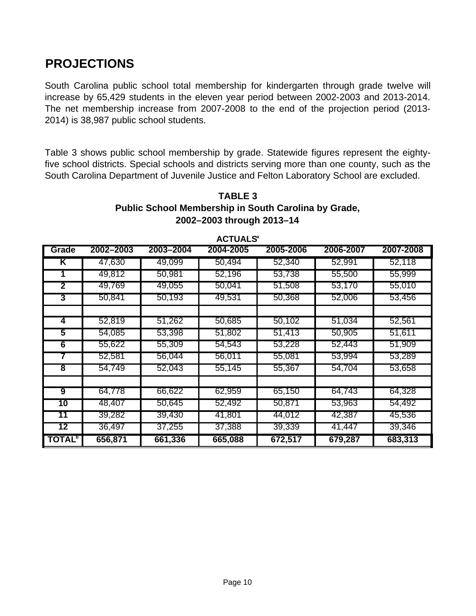# **PROJECTIONS**

South Carolina public school total membership for kindergarten through grade twelve will increase by 65,429 students in the eleven year period between 2002-2003 and 2013-2014. The net membership increase from 2007-2008 to the end of the projection period (2013- 2014) is 38,987 public school students.

Table 3 shows public school membership by grade. Statewide figures represent the eightyfive school districts. Special schools and districts serving more than one county, such as the South Carolina Department of Juvenile Justice and Felton Laboratory School are excluded.

#### **TABLE 3 Public School Membership in South Carolina by Grade, 2002–2003 through 2013–14**

| Grade                     | 2002-2003 | 2003-2004 | טבחטוט<br>2004-2005 | 2005-2006 | 2006-2007 | 2007-2008 |
|---------------------------|-----------|-----------|---------------------|-----------|-----------|-----------|
| K                         | 47,630    | 49,099    | 50,494              | 52,340    | 52,991    | 52,118    |
|                           | 49,812    | 50,981    | 52,196              | 53,738    | 55,500    | 55,999    |
| 2                         | 49,769    | 49,055    | 50,041              | 51,508    | 53,170    | 55,010    |
| 3                         | 50,841    | 50,193    | 49,531              | 50,368    | 52,006    | 53,456    |
|                           |           |           |                     |           |           |           |
| 4                         | 52,819    | 51,262    | 50,685              | 50,102    | 51,034    | 52,561    |
| 5                         | 54,085    | 53,398    | 51,802              | 51,413    | 50,905    | 51,611    |
| 6                         | 55,622    | 55,309    | 54,543              | 53,228    | 52,443    | 51,909    |
|                           | 52,581    | 56,044    | 56,011              | 55,081    | 53,994    | 53,289    |
| $\overline{\mathbf{8}}$   | 54,749    | 52,043    | 55,145              | 55,367    | 54,704    | 53,658    |
|                           |           |           |                     |           |           |           |
| 9                         | 64,778    | 66,622    | 62,959              | 65,150    | 64,743    | 64,328    |
| 10                        | 48,407    | 50,645    | 52,492              | 50,871    | 53,963    | 54,492    |
| 11                        | 39,282    | 39,430    | 41,801              | 44,012    | 42,387    | 45,536    |
| 12                        | 36,497    | 37,255    | 37,388              | 39,339    | 41,447    | 39,346    |
| <b>TOTAL</b> <sup>b</sup> | 656,871   | 661,336   | 665,088             | 672,517   | 679,287   | 683,313   |

**ACTUALSa**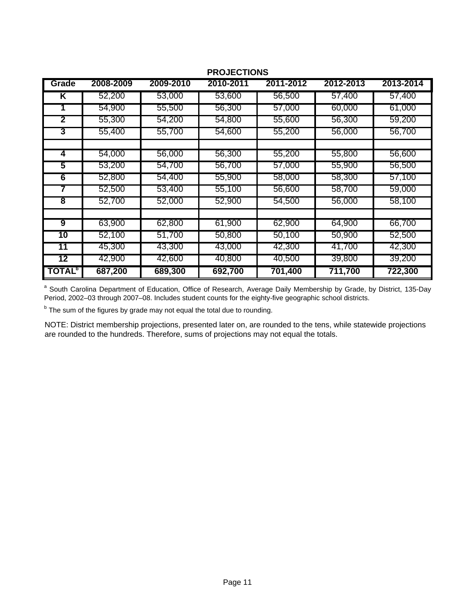| Grade                     | 2008-2009 | 2009-2010 | טווטווטשטוו<br>2010-2011 | 2011-2012 | 2012-2013 | 2013-2014 |
|---------------------------|-----------|-----------|--------------------------|-----------|-----------|-----------|
| ĸ                         | 52,200    | 53,000    | 53,600                   | 56,500    | 57,400    | 57,400    |
|                           | 54,900    | 55,500    | 56,300                   | 57,000    | 60,000    | 61,000    |
| $\mathbf{2}$              | 55,300    | 54,200    | 54,800                   | 55,600    | 56,300    | 59,200    |
| 3                         | 55,400    | 55,700    | 54,600                   | 55,200    | 56,000    | 56,700    |
| 4                         | 54,000    | 56,000    | 56,300                   | 55,200    | 55,800    | 56,600    |
| 5                         | 53,200    | 54,700    | 56,700                   | 57,000    | 55,900    | 56,500    |
| 6                         | 52,800    | 54,400    | 55,900                   | 58,000    | 58,300    | 57,100    |
|                           | 52,500    | 53,400    | 55,100                   | 56,600    | 58,700    | 59,000    |
| $\overline{\mathbf{8}}$   | 52,700    | 52,000    | 52,900                   | 54,500    | 56,000    | 58,100    |
| 9                         | 63,900    | 62,800    | 61,900                   | 62,900    | 64,900    | 66,700    |
| 10                        | 52,100    | 51,700    | 50,800                   | 50,100    | 50,900    | 52,500    |
| 11                        | 45,300    | 43,300    | 43,000                   | 42,300    | 41,700    | 42,300    |
| 12                        | 42,900    | 42,600    | 40,800                   | 40,500    | 39,800    | 39,200    |
| <b>TOTAL</b> <sup>b</sup> | 687,200   | 689,300   | 692,700                  | 701,400   | 711,700   | 722,300   |

#### **PROJECTIONS**

<sup>a</sup> South Carolina Department of Education, Office of Research, Average Daily Membership by Grade, by District, 135-Day Period, 2002–03 through 2007–08. Includes student counts for the eighty-five geographic school districts.

<sup>b</sup> The sum of the figures by grade may not equal the total due to rounding.

NOTE: District membership projections, presented later on, are rounded to the tens, while statewide projections are rounded to the hundreds. Therefore, sums of projections may not equal the totals.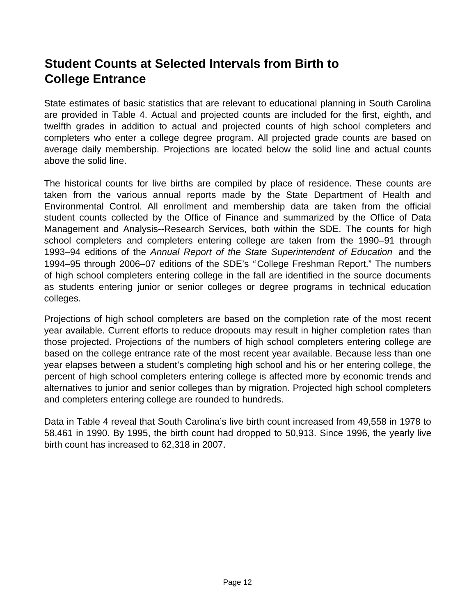# **Student Counts at Selected Intervals from Birth to College Entrance**

State estimates of basic statistics that are relevant to educational planning in South Carolina are provided in Table 4. Actual and projected counts are included for the first, eighth, and twelfth grades in addition to actual and projected counts of high school completers and completers who enter a college degree program. All projected grade counts are based on average daily membership. Projections are located below the solid line and actual counts above the solid line.

The historical counts for live births are compiled by place of residence. These counts are taken from the various annual reports made by the State Department of Health and Environmental Control. All enrollment and membership data are taken from the official student counts collected by the Office of Finance and summarized by the Office of Data Management and Analysis--Research Services, both within the SDE. The counts for high school completers and completers entering college are taken from the 1990–91 through 1993–94 editions of the *Annual Report of the State Superintendent of Education* and the 1994–95 through 2006–07 editions of the SDE's *"* College Freshman Report." The numbers of high school completers entering college in the fall are identified in the source documents as students entering junior or senior colleges or degree programs in technical education colleges.

Projections of high school completers are based on the completion rate of the most recent year available. Current efforts to reduce dropouts may result in higher completion rates than those projected. Projections of the numbers of high school completers entering college are based on the college entrance rate of the most recent year available. Because less than one year elapses between a student's completing high school and his or her entering college, the percent of high school completers entering college is affected more by economic trends and alternatives to junior and senior colleges than by migration. Projected high school completers and completers entering college are rounded to hundreds.

Data in Table 4 reveal that South Carolina's live birth count increased from 49,558 in 1978 to 58,461 in 1990. By 1995, the birth count had dropped to 50,913. Since 1996, the yearly live birth count has increased to 62,318 in 2007.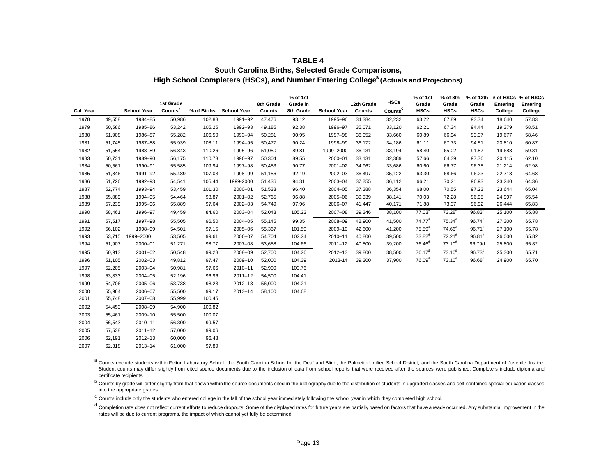#### **TABLE 4**

#### **South Carolina Births, Selected Grade Comparisons,** High School Completers (HSCs), and Number Entering College<sup>a</sup> (Actuals and Projections)

|           |        |                    |           |             |                    |           | % of 1st  |                    |            | <b>HSCs</b>         | % of 1st           | % of 8th           |                    |          | % of 12th # of HSCs % of HSCs |
|-----------|--------|--------------------|-----------|-------------|--------------------|-----------|-----------|--------------------|------------|---------------------|--------------------|--------------------|--------------------|----------|-------------------------------|
|           |        |                    | 1st Grade |             |                    | 8th Grade | Grade in  |                    | 12th Grade |                     | Grade              | Grade              | Grade              | Entering | Entering                      |
| Cal. Year |        | <b>School Year</b> | Countsb   | % of Births | <b>School Year</b> | Counts    | 8th Grade | <b>School Year</b> | Counts     | Counts <sup>c</sup> | <b>HSCs</b>        | <b>HSCs</b>        | <b>HSCs</b>        | College  | College                       |
| 1978      | 49,558 | 1984-85            | 50,986    | 102.88      | 1991-92            | 47,476    | 93.12     | 1995-96            | 34,384     | 32,232              | 63.22              | 67.89              | 93.74              | 18,640   | 57.83                         |
| 1979      | 50,586 | 1985-86            | 53,242    | 105.25      | 1992-93            | 49,185    | 92.38     | 1996-97            | 35,071     | 33,120              | 62.21              | 67.34              | 94.44              | 19,379   | 58.51                         |
| 1980      | 51,908 | 1986-87            | 55,282    | 106.50      | 1993-94            | 50,281    | 90.95     | 1997-98            | 36,052     | 33,660              | 60.89              | 66.94              | 93.37              | 19,677   | 58.46                         |
| 1981      | 51,745 | 1987-88            | 55,939    | 108.11      | 1994-95            | 50,477    | 90.24     | 1998-99            | 36,172     | 34,186              | 61.11              | 67.73              | 94.51              | 20,810   | 60.87                         |
| 1982      | 51,554 | 1988-89            | 56,843    | 110.26      | 1995-96            | 51,050    | 89.81     | 1999-2000          | 36,131     | 33,194              | 58.40              | 65.02              | 91.87              | 19,688   | 59.31                         |
| 1983      | 50,731 | 1989-90            | 56,175    | 110.73      | 1996-97            | 50,304    | 89.55     | 2000-01            | 33,131     | 32,389              | 57.66              | 64.39              | 97.76              | 20,115   | 62.10                         |
| 1984      | 50,561 | 1990-91            | 55,585    | 109.94      | 1997-98            | 50,453    | 90.77     | $2001 - 02$        | 34,962     | 33,686              | 60.60              | 66.77              | 96.35              | 21,214   | 62.98                         |
| 1985      | 51,846 | 1991-92            | 55,489    | 107.03      | 1998-99            | 51,156    | 92.19     | 2002-03            | 36,497     | 35,122              | 63.30              | 68.66              | 96.23              | 22,718   | 64.68                         |
| 1986      | 51,726 | 1992-93            | 54,541    | 105.44      | 1999-2000          | 51,436    | 94.31     | 2003-04            | 37,255     | 36,112              | 66.21              | 70.21              | 96.93              | 23,240   | 64.36                         |
| 1987      | 52,774 | 1993-94            | 53,459    | 101.30      | 2000-01            | 51,533    | 96.40     | $2004 - 05$        | 37,388     | 36,354              | 68.00              | 70.55              | 97.23              | 23,644   | 65.04                         |
| 1988      | 55,089 | 1994-95            | 54,464    | 98.87       | $2001 - 02$        | 52,765    | 96.88     | 2005-06            | 39,339     | 38,141              | 70.03              | 72.28              | 96.95              | 24,997   | 65.54                         |
| 1989      | 57,239 | 1995-96            | 55,889    | 97.64       | 2002-03            | 54,749    | 97.96     | 2006-07            | 41,447     | 40,171              | 71.88              | 73.37              | 96.92              | 26,444   | 65.83                         |
| 1990      | 58,461 | 1996-97            | 49,459    | 84.60       | 2003-04            | 52,043    | 105.22    | 2007-08            | 39,346     | 38,100              | 77.03 <sup>d</sup> | $73.28^{d}$        | 96.83 <sup>d</sup> | 25,100   | 65.88                         |
| 1991      | 57,517 | 1997-98            | 55,505    | 96.50       | $2004 - 05$        | 55,145    | 99.35     | 2008-09            | 42,900     | 41,500              | $74.77^d$          | $75.34^{d}$        | $96.74^{d}$        | 27,300   | 65.78                         |
| 1992      | 56,102 | 1998-99            | 54,501    | 97.15       | 2005-06            | 55,367    | 101.59    | 2009-10            | 42,600     | 41,200              | 75.59 <sup>d</sup> | 74.66 <sup>d</sup> | $96.71^d$          | 27,100   | 65.78                         |
| 1993      | 53,715 | 1999-2000          | 53,505    | 99.61       | 2006-07            | 54,704    | 102.24    | 2010-11            | 40,800     | 39,500              | $73.82^d$          | 72.21 <sup>d</sup> | $96.81^d$          | 26,000   | 65.82                         |
| 1994      | 51,907 | 2000-01            | 51,271    | 98.77       | 2007-08            | 53,658    | 104.66    | $2011 - 12$        | 40,500     | 39,200              | $76.46^d$          | $73.10^{\circ}$    | 96.79d             | 25,800   | 65.82                         |
| 1995      | 50,913 | $2001 - 02$        | 50,548    | 99.28       | 2008-09            | 52,700    | 104.26    | 2012-13            | 39,800     | 38,500              | $76.17^d$          | $73.10^{\circ}$    | 96.73 <sup>d</sup> | 25,300   | 65.71                         |
| 1996      | 51,105 | 2002-03            | 49,812    | 97.47       | 2009-10            | 52,000    | 104.39    | 2013-14            | 39,200     | 37,900              | 76.09 <sup>d</sup> | $73.10^{d}$        | $96.68^{d}$        | 24,900   | 65.70                         |
| 1997      | 52,205 | 2003-04            | 50,981    | 97.66       | 2010-11            | 52,900    | 103.76    |                    |            |                     |                    |                    |                    |          |                               |
| 1998      | 53,833 | 2004-05            | 52,196    | 96.96       | $2011 - 12$        | 54,500    | 104.41    |                    |            |                     |                    |                    |                    |          |                               |
| 1999      | 54,706 | 2005-06            | 53,738    | 98.23       | $2012 - 13$        | 56,000    | 104.21    |                    |            |                     |                    |                    |                    |          |                               |
| 2000      | 55,964 | 2006-07            | 55,500    | 99.17       | 2013-14            | 58,100    | 104.68    |                    |            |                     |                    |                    |                    |          |                               |
| 2001      | 55,748 | 2007-08            | 55,999    | 100.45      |                    |           |           |                    |            |                     |                    |                    |                    |          |                               |
| 2002      | 54,453 | 2008-09            | 54,900    | 100.82      |                    |           |           |                    |            |                     |                    |                    |                    |          |                               |
| 2003      | 55,461 | 2009-10            | 55,500    | 100.07      |                    |           |           |                    |            |                     |                    |                    |                    |          |                               |
| 2004      | 56,543 | 2010-11            | 56,300    | 99.57       |                    |           |           |                    |            |                     |                    |                    |                    |          |                               |
| 2005      | 57,538 | $2011 - 12$        | 57,000    | 99.06       |                    |           |           |                    |            |                     |                    |                    |                    |          |                               |
| 2006      | 62,191 | $2012 - 13$        | 60,000    | 96.48       |                    |           |           |                    |            |                     |                    |                    |                    |          |                               |
| 2007      | 62,318 | $2013 - 14$        | 61,000    | 97.89       |                    |           |           |                    |            |                     |                    |                    |                    |          |                               |

a Counts exclude students within Felton Laboratory School, the South Carolina School for the Deaf and Blind, the Palmetto Unified School District, and the South Carolina Department of Juvenile Justice. Student counts may differ slightly from cited source documents due to the inclusion of data from school reports that were received after the sources were published. Completers include diploma and certificate recipients.

<sup>b</sup> Counts by grade will differ slightly from that shown within the source documents cited in the bibliography due to the distribution of students in upgraded classes and self-contained special education classes into the appropriate grades.

<sup>c</sup> Counts include only the students who entered college in the fall of the school year immediately following the school year in which they completed high school.

d Completion rate does not reflect current efforts to reduce dropouts. Some of the displayed rates for future years are partially based on factors that have already occurred. Any substantial improvement in the rates will be due to current programs, the impact of which cannot yet fully be determined.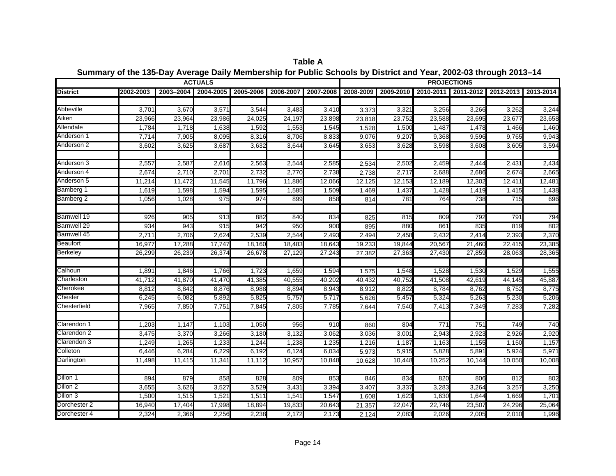|                         |                |                | <b>ACTUALS</b> |                |                |                 |           |                |                 | <b>PROJECTIONS</b> |                |                |
|-------------------------|----------------|----------------|----------------|----------------|----------------|-----------------|-----------|----------------|-----------------|--------------------|----------------|----------------|
| <b>District</b>         | 2002-2003      | 2003-2004      | 2004-2005      | 2005-2006      | 2006-2007      | 2007-2008       | 2008-2009 | 2009-2010      | 2010-2011       | 2011-2012          | 2012-2013      | 2013-2014      |
| Abbeville               | 3,701          | 3,670          | 3,571          | 3,544          | 3,483          | 3,410           | 3,373     | 3,321          | 3,256           | 3,266              | 3,262          | 3,244          |
| Aiken                   | 23,966         | 23,964         | 23,986         | 24,025         | 24,197         | 23,898          | 23,818    | 23,752         | 23,588          | 23,695             | 23,677         | 23,658         |
| Allendale               | 1,784          | 1,718          | 1,638          | 1,592          | 1,553          | 1,545           | 1,528     | 1,500          | 1,487           | 1,478              | 1,466          | 1,460          |
| Anderson 1              | 7,714          | 7,905          | 8,095          | 8,316          | 8,706          | 8,833           | 9,076     | 9,207          | 9,368           | 9,596              | 9,765          | 9,943          |
| Anderson 2              | 3,602          | 3,625          | 3,687          | 3,632          | 3,644          | 3,645           | 3,653     | 3,628          | 3,598           | 3,608              | 3,605          | 3,594          |
| Anderson 3              | 2,557          | 2,587          | 2,616          | 2,563          | 2,544          | 2,585           | 2,534     | 2,502          | 2,459           | 2,444              | 2,431          | 2,434          |
| Anderson 4              | 2,674          | 2,710          | 2,701          | 2,732          | 2,770          | 2,738           | 2,738     | 2,717          | 2,688           | 2,686              | 2,674          | 2,665          |
| Anderson 5              | 11,214         | 11,472         | 11,545         | 11,796         | 11,886         | 12,066          | 12,125    | 12,153         | 12,189          | 12,302             | 12,411         | 12,481         |
| Bamberg 1               | 1,619          | 1,598          | 1,594          | 1,595          | 1,585          | 1,509           | 1,469     | 1,437          | 1,428           | 1,419              | 1,415          | 1,438          |
| Bamberg 2               | 1,056          | 1,028          | 975            | 974            | 899            | 858             | 814       | 781            | 764             | 738                | 715            | 696            |
| <b>Barnwell 19</b>      | 926            | 905            | 913            | 882            | 840            | 834             | 825       | 815            | 80 <sub>S</sub> | 792                | 791            | 794            |
| <b>Barnwell 29</b>      | 934            | 943            | 915            | 942            | 95C            | 90 <sub>C</sub> | 895       | 880            | 861             | 835                | 819            | 802            |
| <b>Barnwell 45</b>      | 2,71           | 2,706          | 2,624          | 2,539          | 2,544          | 2,493           | 2,494     | 2,458          | 2,432           | 2,414              | 2,393          | 2,370          |
| <b>Beaufort</b>         | 16,977         | 17,288         | 17,747         | 18,160         | 18,483         | 18,643          | 19,233    | 19,844         | 20,567          | 21,460             | 22,415         | 23,385         |
| <b>Berkeley</b>         | 26,299         | 26,239         | 26,374         | 26,678         | 27,129         | 27,243          | 27,382    | 27,363         | 27,430          | 27,859             | 28,063         | 28,365         |
|                         |                |                |                |                |                |                 |           |                |                 |                    |                |                |
| Calhoun                 | 1,891          | 1,846          | 1,766          | 1,723          | 1,659          | 1,594           | 1,575     | 1,548          | 1,528           | 1,530              | 1,529          | 1,555          |
| Charleston              | 41,712         | 41,870         | 41,470         | 41,385         | 40,555         | 40,202          | 40,432    | 40,752         | 41,508          | 42,619             | 44,145         | 45,887         |
| Cherokee                | 8,812          | 8,842          | 8,876          | 8,988          | 8,894          | 8,943           | 8,912     | 8,822          | 8,784           | 8,762              | 8,752          | 8,775          |
| Chester<br>Chesterfield | 6,245<br>7,965 | 6,082<br>7,850 | 5,892<br>7,751 | 5,825<br>7,845 | 5,757<br>7,805 | 5,717<br>7,785  | 5,626     | 5,457<br>7,540 | 5,324<br>7,413  | 5,263<br>7,349     | 5,230<br>7,283 | 5,206<br>7,282 |
|                         |                |                |                |                |                |                 | 7,644     |                |                 |                    |                |                |
| Clarendon 1             | 1,203          | 1,147          | 1,103          | 1,050          | 956            | 91C             | 860       | 804            | 771             | 751                | 749            | 740            |
| Clarendon <sub>2</sub>  | 3,475          | 3,370          | 3,266          | 3,180          | 3,132          | 3,062           | 3,036     | 3,001          | 2,943           | 2,923              | 2,926          | 2,920          |
| Clarendon 3             | 1,249          | 1,265          | 1,233          | 1,244          | 1,238          | 1,235           | 1,216     | 1,187          | 1,163           | 1,155              | 1,150          | 1,157          |
| Colleton                | 6,446          | 6,284          | 6,229          | 6,192          | 6,124          | 6,034           | 5,973     | 5,915          | 5,828           | 5,891              | 5,924          | 5,971          |
| Darlington              | 11,498         | 11,415         | 11,341         | 11,112         | 10,95          | 10,848          | 10,628    | 10,448         | 10,252          | 10,144             | 10,050         | 10,008         |
| Dillon 1                | 894            | 879            | 858            | 828            | 809            | 853             | 846       | 834            | 820             | 806                | 812            | 802            |
| Dillon 2                | 3,655          | 3,626          | 3,527          | 3,529          | 3,431          | 3,394           | 3,407     | 3,337          | 3,283           | 3,264              | 3,257          | 3,250          |
| Dillon 3                | 1,500          | 1,515          | 1,521          | 1,51'          | 1,54'          | 1,547           | 1,608     | 1,623          | 1,630           | 1,644              | 1,669          | 1,701          |
| Dorchester 2            | 16,940         | 17,404         | 17,998         | 18,894         | 19,833         | 20,643          | 21,357    | 22,047         | 22,746          | 23,507             | 24,296         | 25,064         |
| Dorchester 4            | 2,324          | 2,366          | 2,256          | 2,238          | 2,172          | 2,173           | 2,124     | 2,083          | 2,026           | 2,005              | 2,010          | 1,996          |

**Summary of the 135-Day Average Daily Membership for Public Schools by District and Year, 2002-03 through 2013–14 Table A**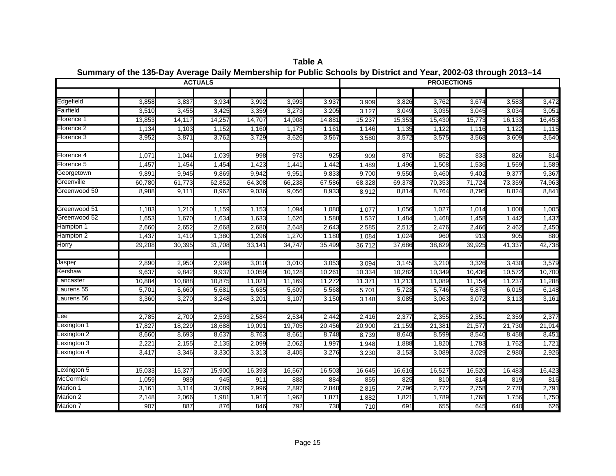|                           |        |        | <b>ACTUALS</b> |        |        |        |        |        |        | <b>PROJECTIONS</b> |                |                |
|---------------------------|--------|--------|----------------|--------|--------|--------|--------|--------|--------|--------------------|----------------|----------------|
|                           |        |        |                |        |        |        |        |        |        |                    |                |                |
| Edgefield                 | 3,858  | 3,837  | 3,934          | 3,992  | 3,993  | 3,937  | 3,909  | 3,826  | 3,762  | 3,674              | 3,583          | 3,472          |
| Fairfield                 | 3,510  | 3,455  | 3,425          | 3,359  | 3,273  | 3,205  | 3,127  | 3,049  | 3,035  | 3,045              | 3,034          | 3,051          |
| Florence 1                | 13,853 | 14,117 | 14,257         | 14,707 | 14,908 | 14,881 | 15,237 | 15,353 | 15,430 | 15,773             | 16,133         | 16,453         |
| Florence 2                | 1,134  | 1,103  | 1,152          | 1,160  | 1,173  | 1,161  | 1,146  | 1,135  | 1,122  | 1,116              | 1,122          | 1,115          |
| Florence 3                | 3,952  | 3,871  | 3,762          | 3,729  | 3,626  | 3,567  | 3,580  | 3,572  | 3,575  | 3,568              | 3,609          | 3,640          |
|                           |        |        |                |        |        |        |        |        |        |                    |                |                |
| Florence 4                | 1,071  | 1,044  | 1,039          | 998    | 973    | 925    | 909    | 870    | 852    | 833                | 826            | 814            |
| Florence 5                | 1,457  | 1,454  | 1,454          | 1,423  | 1,441  | 1,442  | 1,489  | 1,496  | 1,508  | 1,536              | 1,569          | 1,589          |
| Georgetown                | 9,891  | 9,945  | 9,869          | 9,942  | 9,951  | 9,833  | 9,700  | 9,550  | 9,460  | 9,402              | 9,377          | 9,367          |
| Greenville                | 60,780 | 61,773 | 62,852         | 64,308 | 66,238 | 67,586 | 68,328 | 69,378 | 70,353 | 71,724             | 73,359         | 74,963         |
| Greenwood 50              | 8,988  | 9,111  | 8,962          | 9,036  | 9,056  | 8,933  | 8,912  | 8,814  | 8,764  | 8,795              | 8,824          | 8,841          |
| Greenwood 51              | 1,183  | 1,210  | 1,159          | 1,153  | 1,094  | 1,080  | 1,077  | 1,056  | 1,027  | 1,014              | 1,008          | 1,005          |
| Greenwood 52              | 1,653  | 1,670  | 1,634          | 1,633  | 1,626  | 1,588  | 1,537  | 1,484  | 1,468  | 1,458              | 1,442          | 1,437          |
| Hampton 1                 | 2,660  | 2,652  | 2,668          | 2,680  | 2,648  | 2,643  | 2,585  | 2,512  | 2,476  | 2,466              | 2,462          | 2,450          |
| Hampton 2                 | 1,437  | 1,410  | 1,380          | 1,296  | 1,270  | 1,180  | 1,084  | 1,024  | 960    | 919                | 905            | 880            |
| <b>Horry</b>              | 29,208 | 30,395 | 31,708         | 33,141 | 34,74  | 35,499 | 36,712 | 37,686 | 38,629 | 39,925             | 41,337         | 42,738         |
|                           |        |        |                |        |        |        |        |        |        |                    |                |                |
| Jasper                    | 2,890  | 2,950  | 2,998          | 3,010  | 3,010  | 3,053  | 3,094  | 3,145  | 3,210  | 3,326              | 3,430          | 3,579          |
| Kershaw                   | 9,637  | 9,842  | 9,937          | 10,059 | 10,128 | 10,261 | 10,334 | 10,282 | 10,349 | 10,436             | 10,572         | 10,700         |
| Lancaster                 | 10,884 | 10,888 | 10,875         | 11,021 | 11,169 | 11,272 | 11,371 | 11,213 | 11,089 | 11,154             | 11,237         | 11,288         |
| Laurens 55                | 5,701  | 5,660  | 5,681          | 5,635  | 5,609  | 5,568  | 5,701  | 5,723  | 5,746  | 5,876              | 6,015          | 6,148          |
| Laurens 56                | 3,360  | 3,270  | 3,248          | 3,20'  | 3,107  | 3,150  | 3,148  | 3,085  | 3,063  | 3,072              | 3,113          | 3,161          |
| ee.                       | 2,785  | 2,700  |                | 2,584  | 2,534  |        |        | 2,377  |        |                    |                | 2,377          |
|                           |        |        | 2,593          |        |        | 2,442  | 2,416  |        | 2,355  | 2,351              | 2,359          |                |
| Lexington 1               | 17,827 | 18,229 | 18,688         | 19,091 | 19,705 | 20,456 | 20,900 | 21,159 | 21,38' | 21,577             | 21,730         | 21,914         |
| exington 2                | 8,660  | 8,693  | 8,637          | 8,763  | 8,661  | 8,748  | 8,739  | 8,640  | 8,599  | 8,540              | 8,458          | 8,451          |
| exington 3<br>Lexington 4 | 2,22'  | 2,155  | 2,135          | 2,099  | 2,062  | 1,997  | 1,948  | 1,888  | 1,820  | 1,783              | 1,762<br>2,980 | 1,721<br>2,926 |
|                           | 3,417  | 3,346  | 3,330          | 3,313  | 3,405  | 3,276  | 3,230  | 3,153  | 3,089  | 3,029              |                |                |
| Lexington 5               | 15,033 | 15,377 | 15,900         | 16,393 | 16,567 | 16,503 | 16,645 | 16,616 | 16,527 | 16,520             | 16,483         | 16,423         |
| <b>McCormick</b>          | 1,059  | 989    | 945            | 911    | 888    | 884    | 855    | 825    | 810    | 814                | 819            | 816            |
| Marion 1                  | 3,161  | 3,114  | 3,089          | 2,996  | 2,897  | 2,848  | 2,815  | 2,796  | 2,772  | 2,758              | 2,778          | 2,791          |
| Marion 2                  | 2,148  | 2,066  | 1,981          | 1,917  | 1,962  | 1,871  | 1,882  | 1,821  | 1,789  | 1,768              | 1,756          | 1,750          |
| Marion 7                  | 907    | 887    | 876            | 846    | 792    | 738    | 710    | 691    | 655    | 645                | 640            | 626            |

**Summary of the 135-Day Average Daily Membership for Public Schools by District and Year, 2002-03 through 2013–14 Table A**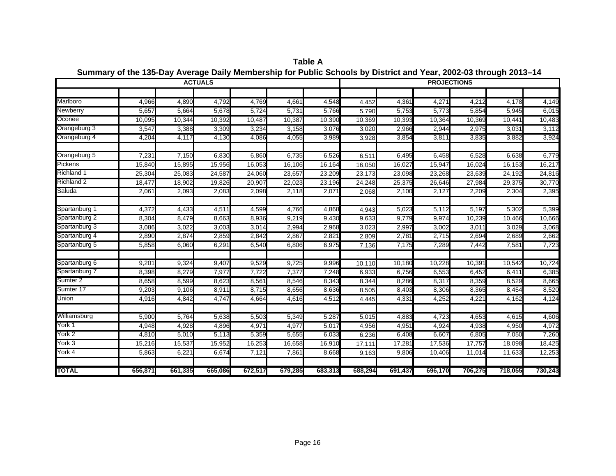|                     |         |         | <b>ACTUALS</b> |         |         |         |         |         | <b>PROJECTIONS</b> |         |         |         |
|---------------------|---------|---------|----------------|---------|---------|---------|---------|---------|--------------------|---------|---------|---------|
|                     |         |         |                |         |         |         |         |         |                    |         |         |         |
| Marlboro            | 4,966   | 4,890   | 4,792          | 4,769   | 4,661   | 4,548   | 4,452   | 4,361   | 4,27'              | 4,212   | 4,178   | 4,149   |
| Newberry            | 5,657   | 5,664   | 5,678          | 5,724   | 5,731   | 5,766   | 5,790   | 5,753   | 5,773              | 5,854   | 5,945   | 6,015   |
| Oconee              | 10,095  | 10,344  | 10,392         | 10,487  | 10,387  | 10,390  | 10,369  | 10,393  | 10,364             | 10,369  | 10,441  | 10,483  |
| Orangeburg 3        | 3,547   | 3,388   | 3,309          | 3,234   | 3,158   | 3,076   | 3,020   | 2,966   | 2,944              | 2,975   | 3,031   | 3,112   |
| Orangeburg 4        | 4,204   | 4,117   | 4,130          | 4,086   | 4,055   | 3,989   | 3,928   | 3,854   | 3,811              | 3,835   | 3,882   | 3,924   |
| Orangeburg 5        | 7,231   | 7,150   | 6,830          | 6,860   | 6,735   | 6,526   | 6,511   | 6,495   | 6,458              | 6,528   | 6,638   | 6,779   |
| Pickens             | 15,840  | 15,895  | 15,956         | 16,053  | 16,106  | 16,164  | 16,050  | 16,027  | 15,947             | 16,024  | 16,153  | 16,217  |
| <b>Richland 1</b>   | 25,304  | 25,083  | 24,587         | 24,060  | 23,657  | 23,209  | 23,173  | 23,098  | 23,268             | 23,639  | 24,192  | 24,816  |
| <b>Richland 2</b>   | 18,477  | 18,902  | 19,826         | 20,907  | 22,023  | 23,196  | 24,248  | 25,375  | 26,646             | 27,984  | 29,375  | 30,770  |
| Saluda              | 2,061   | 2,093   | 2,083          | 2,098   | 2,118   | 2,071   | 2,068   | 2,100   | 2,127              | 2,209   | 2,304   | 2,395   |
| Spartanburg 1       | 4,372   | 4,433   | 4,511          | 4,599   | 4,766   | 4,868   | 4,943   | 5,023   | 5,112              | 5,197   | 5,302   | 5,399   |
| Spartanburg 2       | 8,304   | 8,479   | 8,663          | 8,936   | 9,219   | 9,430   | 9,633   | 9,779   | 9,974              | 10,239  | 10,466  | 10,666  |
| Spartanburg 3       | 3,086   | 3,022   | 3,003          | 3,014   | 2,994   | 2,968   | 3,023   | 2,997   | 3,002              | 3,011   | 3,029   | 3,068   |
| Spartanburg 4       | 2,890   | 2,874   | 2,859          | 2,842   | 2,867   | 2,821   | 2,809   | 2,781   | 2,715              | 2,694   | 2,689   | 2,662   |
| Spartanburg 5       | 5,858   | 6,060   | 6,291          | 6,540   | 6,806   | 6,975   | 7,136   | 7,175   | 7,289              | 7,442   | 7,581   | 7,723   |
| Spartanburg 6       | 9,201   | 9,324   | 9,407          | 9,529   | 9,725   | 9,996   | 10,110  | 10,180  | 10,228             | 10,391  | 10,542  | 10,724  |
| Spartanburg 7       | 8,398   | 8,279   | 7,977          | 7,722   | 7,377   | 7,248   | 6,933   | 6,756   | 6,553              | 6,452   | 6,411   | 6,385   |
| Sumter <sub>2</sub> | 8,658   | 8,599   | 8,623          | 8,561   | 8,546   | 8,343   | 8,344   | 8,286   | 8,317              | 8,359   | 8,529   | 8,665   |
| Sumter 17           | 9,203   | 9,106   | 8,911          | 8,715   | 8,656   | 8,636   | 8,505   | 8,403   | 8,306              | 8,365   | 8,454   | 8,520   |
| Union               | 4,916   | 4,842   | 4,747          | 4,664   | 4,616   | 4,512   | 4,445   | 4,331   | 4,252              | 4,221   | 4,162   | 4,124   |
| Williamsburg        | 5,900   | 5,764   | 5,638          | 5,503   | 5,349   | 5,287   | 5,015   | 4,883   | 4,723              | 4,653   | 4,615   | 4,606   |
| York 1              | 4,948   | 4,928   | 4,896          | 4,971   | 4,977   | 5,017   | 4,956   | 4,951   | 4,924              | 4,938   | 4,950   | 4,972   |
| York 2              | 4,810   | 5,010   | 5,113          | 5,359   | 5,655   | 6,033   | 6,236   | 6,408   | 6,607              | 6,805   | 7,050   | 7,260   |
| York 3              | 15,216  | 15,537  | 15,952         | 16,253  | 16,658  | 16,910  | 17,111  | 17,281  | 17,536             | 17,757  | 18,098  | 18,425  |
| York 4              | 5,863   | 6,221   | 6,674          | 7,121   | 7,861   | 8,668   | 9,163   | 9,806   | 10,406             | 11,014  | 11,633  | 12,253  |
| <b>TOTAL</b>        | 656,871 | 661,335 | 665,086        | 672,517 | 679,285 | 683,313 | 688,294 | 691,437 | 696,170            | 706,275 | 718,055 | 730,243 |

**Summary of the 135-Day Average Daily Membership for Public Schools by District and Year, 2002-03 through 2013–14 Table A**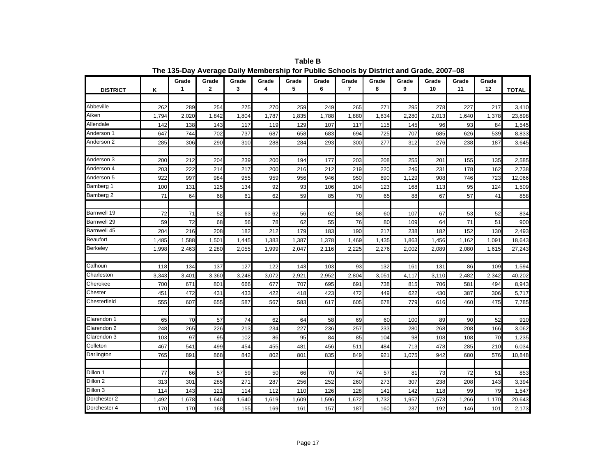|                     |       | Grade | Grade | Grade | Grade | Grade | Grade | Grade          | Grade | Grade | Grade | Grade | Grade |              |
|---------------------|-------|-------|-------|-------|-------|-------|-------|----------------|-------|-------|-------|-------|-------|--------------|
| <b>DISTRICT</b>     | Κ     | 1     | 2     | 3     | 4     | 5     | 6     | $\overline{7}$ | 8     | 9     | 10    | 11    | 12    | <b>TOTAL</b> |
|                     |       |       |       |       |       |       |       |                |       |       |       |       |       |              |
| Abbeville           | 262   | 289   | 254   | 275   | 270   | 259   | 249   | 265            | 271   | 295   | 278   | 227   | 217   | 3,410        |
| Aiken               | 1,794 | 2,020 | 1,842 | 1,804 | 1,787 | 1,835 | 1,788 | 1,880          | 1,834 | 2,280 | 2,013 | 1,640 | 1,378 | 23,898       |
| Allendale           | 142   | 138   | 143   | 117   | 119   | 129   | 107   | 117            | 115   | 145   | 96    | 93    | 84    | 1,545        |
| Anderson 1          | 647   | 744   | 702   | 737   | 687   | 658   | 683   | 694            | 725   | 707   | 685   | 626   | 539   | 8,833        |
| Anderson 2          | 285   | 306   | 290   | 310   | 288   | 284   | 293   | 300            | 277   | 312   | 276   | 238   | 187   | 3,645        |
|                     |       |       |       |       |       |       |       |                |       |       |       |       |       |              |
| Anderson 3          | 200   | 212   | 204   | 239   | 200   | 194   | 177   | 203            | 208   | 255   | 201   | 155   | 135   | 2,585        |
| Anderson 4          | 203   | 222   | 214   | 217   | 200   | 216   | 212   | 219            | 220   | 246   | 231   | 178   | 162   | 2,738        |
| Anderson 5          | 922   | 997   | 984   | 955   | 959   | 956   | 946   | 950            | 890   | 1,129 | 908   | 746   | 723   | 12,066       |
| Bamberg 1           | 100   | 131   | 125   | 134   | 92    | 93    | 106   | 104            | 123   | 168   | 113   | 95    | 124   | 1,509        |
| Bamberg 2           | 71    | 64    | 68    | 61    | 62    | 59    | 85    | 70             | 65    | 88    | 67    | 57    | 41    | 858          |
|                     |       |       |       |       |       |       |       |                |       |       |       |       |       |              |
| <b>Barnwell 19</b>  | 72    | 71    | 52    | 63    | 62    | 56    | 62    | 58             | 60    | 107   | 67    | 53    | 52    | 834          |
| <b>Barnwell 29</b>  | 59    | 72    | 68    | 56    | 78    | 62    | 55    | 76             | 80    | 109   | 64    | 71    | 51    | 900          |
| Barnwell 45         | 204   | 216   | 208   | 182   | 212   | 179   | 183   | 190            | 217   | 238   | 182   | 152   | 130   | 2,493        |
| <b>Beaufort</b>     | 1,485 | 1,588 | 1,501 | 1,445 | 1,383 | 1,387 | 1,378 | 1,469          | 1,435 | 1,863 | 1,456 | 1,162 | 1,091 | 18,643       |
| <b>Berkeley</b>     | 1,998 | 2,463 | 2,280 | 2,055 | 1,999 | 2,047 | 2,116 | 2,225          | 2,276 | 2,002 | 2,089 | 2,080 | 1,615 | 27,243       |
|                     |       |       |       |       |       |       |       |                |       |       |       |       |       |              |
| Calhoun             | 118   | 134   | 137   | 127   | 122   | 143   | 103   | 93             | 132   | 161   | 131   | 86    | 109   | 1,594        |
| Charleston          | 3,343 | 3,401 | 3,360 | 3,248 | 3,072 | 2,921 | 2,952 | 2,804          | 3,051 | 4,117 | 3,110 | 2,482 | 2,342 | 40,202       |
| Cherokee            | 700   | 671   | 801   | 666   | 677   | 707   | 695   | 691            | 738   | 815   | 706   | 581   | 494   | 8,943        |
| Chester             | 451   | 472   | 431   | 433   | 422   | 418   | 423   | 472            | 449   | 622   | 430   | 387   | 306   | 5,717        |
| Chesterfield        | 555   | 607   | 655   | 587   | 567   | 583   | 617   | 605            | 678   | 779   | 616   | 460   | 475   | 7,785        |
|                     |       |       |       |       |       |       |       |                |       |       |       |       |       |              |
| Clarendon 1         | 65    | 70    | 57    | 74    | 62    | 64    | 58    | 69             | 60    | 100   | 89    | 90    | 52    | 910          |
| Clarendon 2         | 248   | 265   | 226   | 213   | 234   | 227   | 236   | 257            | 233   | 280   | 268   | 208   | 166   | 3,062        |
| Clarendon 3         | 103   | 97    | 95    | 102   | 86    | 95    | 84    | 85             | 104   | 98    | 108   | 108   | 70    | 1,235        |
| Colleton            | 467   | 541   | 499   | 454   | 455   | 481   | 456   | 511            | 484   | 713   | 478   | 285   | 210   | 6,034        |
| Darlington          | 765   | 891   | 868   | 842   | 802   | 801   | 835   | 849            | 921   | 1,075 | 942   | 680   | 576   | 10,848       |
|                     |       |       |       |       |       |       |       |                |       |       |       |       |       |              |
| Dillon 1            | 77    | 66    | 57    | 59    | 50    | 66    | 70    | 74             | 57    | 81    | 73    | 72    | 51    | 853          |
| Dillon <sub>2</sub> | 313   | 301   | 285   | 271   | 287   | 256   | 252   | 260            | 273   | 307   | 238   | 208   | 143   | 3,394        |
| Dillon 3            | 114   | 143   | 121   | 114   | 112   | 110   | 126   | 128            | 141   | 142   | 118   | 99    | 79    | 1,547        |
| Dorchester 2        | 1,492 | 1,678 | 1,640 | 1,640 | 1,619 | 1,609 | 1,596 | 1,672          | 1,732 | 1,957 | 1,573 | 1,266 | 1,170 | 20,643       |
| Dorchester 4        | 170   | 170   | 168   | 155   | 169   | 161   | 157   | 187            | 160   | 237   | 192   | 146   | 101   | 2,173        |

**Table B The 135-Day Average Daily Membership for Public Schools by District and Grade, 2007–08**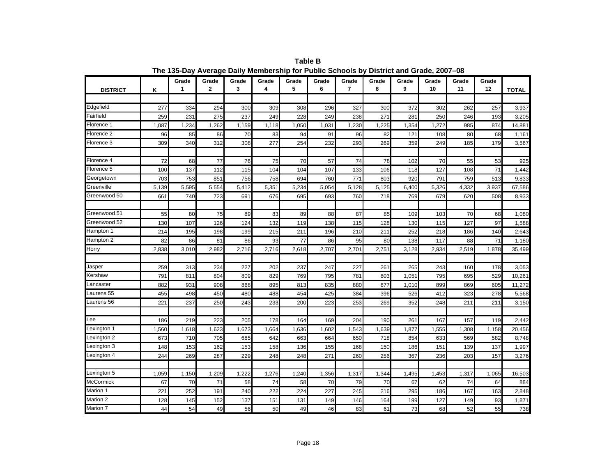|                  |       | Grade | Grade       | Grade | Grade | Grade | Grade | Grade          | Grade | Grade | Grade | Grade | Grade |              |
|------------------|-------|-------|-------------|-------|-------|-------|-------|----------------|-------|-------|-------|-------|-------|--------------|
| <b>DISTRICT</b>  | κ     | 1     | $\mathbf 2$ | 3     | 4     | 5     | 6     | $\overline{7}$ | 8     | 9     | 10    | 11    | 12    | <b>TOTAL</b> |
|                  |       |       |             |       |       |       |       |                |       |       |       |       |       |              |
| Edgefield        | 277   | 334   | 294         | 300   | 309   | 308   | 296   | 327            | 300   | 372   | 302   | 262   | 257   | 3,937        |
| Fairfield        | 259   | 231   | 275         | 237   | 249   | 228   | 249   | 238            | 271   | 281   | 250   | 246   | 193   | 3,205        |
| Florence 1       | 1,087 | 1,234 | 1,262       | 1,159 | 1,118 | 1,050 | 1,031 | 1,230          | 1,225 | 1,354 | 1,272 | 985   | 874   | 14,881       |
| Florence 2       | 96    | 85    | 86          | 70    | 83    | 94    | 91    | 96             | 82    | 121   | 108   | 80    | 68    | 1,161        |
| Florence 3       | 309   | 340   | 312         | 308   | 277   | 254   | 232   | 293            | 269   | 359   | 249   | 185   | 179   | 3,567        |
|                  |       |       |             |       |       |       |       |                |       |       |       |       |       |              |
| Florence 4       | 72    | 68    | 77          | 76    | 75    | 70    | 57    | 74             | 78    | 102   | 70    | 55    | 53    | 925          |
| Florence 5       | 100   | 137   | 112         | 115   | 104   | 104   | 107   | 133            | 106   | 118   | 127   | 108   | 71    | 1,442        |
| Georgetown       | 703   | 753   | 851         | 756   | 758   | 694   | 760   | 771            | 803   | 920   | 791   | 759   | 513   | 9,833        |
| Greenville       | 5,139 | 5,595 | 5,554       | 5,412 | 5,351 | 5,234 | 5,054 | 5,128          | 5,125 | 6,400 | 5,326 | 4,332 | 3,937 | 67,586       |
| Greenwood 50     | 661   | 740   | 723         | 691   | 676   | 695   | 693   | 760            | 718   | 769   | 679   | 620   | 508   | 8,933        |
|                  |       |       |             |       |       |       |       |                |       |       |       |       |       |              |
| Greenwood 51     | 55    | 80    | 75          | 89    | 83    | 89    | 88    | 87             | 85    | 109   | 103   | 70    | 68    | 1,080        |
| Greenwood 52     | 130   | 107   | 126         | 124   | 132   | 119   | 138   | 115            | 128   | 130   | 115   | 127   | 97    | 1,588        |
| Hampton 1        | 214   | 195   | 198         | 199   | 215   | 211   | 196   | 210            | 211   | 252   | 218   | 186   | 140   | 2,643        |
| Hampton 2        | 82    | 86    | 81          | 86    | 93    | 77    | 86    | 95             | 80    | 138   | 117   | 88    | 71    | 1,180        |
| Horry            | 2,838 | 3,010 | 2,982       | 2,716 | 2,716 | 2,618 | 2,707 | 2,701          | 2,751 | 3,128 | 2,934 | 2,519 | 1,878 | 35,499       |
|                  |       |       |             |       |       |       |       |                |       |       |       |       |       |              |
| Jasper           | 259   | 313   | 234         | 227   | 202   | 237   | 247   | 227            | 261   | 265   | 243   | 160   | 178   | 3,053        |
| Kershaw          | 791   | 811   | 804         | 809   | 829   | 769   | 795   | 781            | 803   | 1,051 | 795   | 695   | 529   | 10,261       |
| Lancaster        | 882   | 931   | 908         | 868   | 895   | 813   | 835   | 880            | 877   | 1,010 | 899   | 869   | 605   | 11,272       |
| aurens 55        | 455   | 498   | 450         | 480   | 488   | 454   | 425   | 384            | 396   | 526   | 412   | 323   | 278   | 5,568        |
| aurens 56        | 221   | 237   | 250         | 243   | 233   | 200   | 223   | 253            | 269   | 352   | 248   | 211   | 211   | 3,150        |
|                  |       |       |             |       |       |       |       |                |       |       |       |       |       |              |
| Lee              | 186   | 219   | 223         | 205   | 178   | 164   | 169   | 204            | 190   | 261   | 167   | 157   | 119   | 2,442        |
| exington 1       | 1,560 | 1,618 | 1,623       | 1,673 | 1,664 | 1,636 | 1,602 | 1,543          | 1,639 | 1,877 | 1,555 | 1,308 | 1,158 | 20,456       |
| Lexington 2      | 673   | 710   | 705         | 685   | 642   | 663   | 664   | 650            | 718   | 854   | 633   | 569   | 582   | 8,748        |
| Lexington 3      | 148   | 153   | 162         | 153   | 158   | 136   | 155   | 168            | 150   | 186   | 151   | 139   | 137   | 1,997        |
| Lexington 4      | 244   | 269   | 287         | 229   | 248   | 248   | 271   | 260            | 256   | 367   | 236   | 203   | 157   | 3,276        |
|                  |       |       |             |       |       |       |       |                |       |       |       |       |       |              |
| Lexington 5      | 1,059 | 1,150 | 1,209       | 1,222 | 1,276 | 1,240 | 1,356 | 1,317          | 1,344 | 1,495 | 1,453 | 1,317 | 1,065 | 16,503       |
| <b>McCormick</b> | 67    | 70    | 71          | 58    | 74    | 58    | 70    | 79             | 70    | 67    | 62    | 74    | 64    | 884          |
| Marion 1         | 221   | 252   | 191         | 240   | 222   | 224   | 227   | 245            | 216   | 295   | 186   | 167   | 163   | 2,848        |
| Marion 2         | 128   | 145   | 152         | 137   | 151   | 131   | 149   | 146            | 164   | 199   | 127   | 149   | 93    | 1,871        |
| Marion 7         | 44    | 54    | 49          | 56    | 50    | 49    | 46    | 83             | 61    | 73    | 68    | 52    | 55    | 738          |

**Table B The 135-Day Average Daily Membership for Public Schools by District and Grade, 2007–08**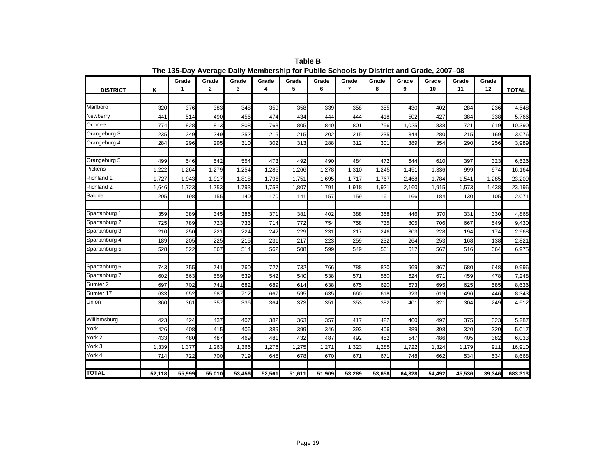|                     |        | Grade  | Grade        | Grade  | Grade  | Grade  | Grade  | Grade          | Grade  | Grade  | Grade  | Grade  | Grade  |              |
|---------------------|--------|--------|--------------|--------|--------|--------|--------|----------------|--------|--------|--------|--------|--------|--------------|
| <b>DISTRICT</b>     | Κ      | 1      | $\mathbf{2}$ | 3      | 4      | 5      | 6      | $\overline{7}$ | 8      | 9      | 10     | 11     | 12     | <b>TOTAL</b> |
|                     |        |        |              |        |        |        |        |                |        |        |        |        |        |              |
| Marlboro            | 320    | 376    | 383          | 348    | 359    | 358    | 339    | 358            | 355    | 430    | 402    | 284    | 236    | 4,548        |
| Newberry            | 441    | 514    | 490          | 456    | 474    | 434    | 444    | 444            | 418    | 502    | 427    | 384    | 338    | 5,766        |
| Oconee              | 774    | 828    | 813          | 808    | 763    | 805    | 840    | 801            | 756    | 1,025  | 838    | 721    | 619    | 10,390       |
| Orangeburg 3        | 235    | 249    | 249          | 252    | 215    | 215    | 202    | 215            | 235    | 344    | 280    | 215    | 169    | 3,076        |
| Orangeburg 4        | 284    | 296    | 295          | 310    | 302    | 313    | 288    | 312            | 301    | 389    | 354    | 290    | 256    | 3,989        |
|                     |        |        |              |        |        |        |        |                |        |        |        |        |        |              |
| Orangeburg 5        | 499    | 546    | 542          | 554    | 473    | 492    | 490    | 484            | 472    | 644    | 610    | 397    | 323    | 6,526        |
| Pickens             | 1,222  | 1,264  | 1,279        | 1,254  | 1,285  | 1,266  | 1,278  | 1,310          | 1,245  | 1.451  | 1,336  | 999    | 974    | 16,164       |
| <b>Richland 1</b>   | 1,727  | 1,943  | 1,917        | 1,818  | 1,796  | 1.751  | 1,695  | 1,717          | 1.767  | 2,468  | 1,784  | 1,541  | 1,285  | 23,209       |
| Richland 2          | 1,646  | 1,723  | 1,753        | 1,793  | 1,758  | 1,807  | 1,791  | 1,918          | 1,921  | 2,160  | 1,915  | 1,573  | 1,438  | 23,196       |
| Saluda              | 205    | 198    | 155          | 140    | 170    | 141    | 157    | 159            | 161    | 166    | 184    | 130    | 105    | 2,071        |
|                     |        |        |              |        |        |        |        |                |        |        |        |        |        |              |
| Spartanburg 1       | 359    | 389    | 345          | 386    | 371    | 381    | 402    | 388            | 368    | 446    | 370    | 331    | 330    | 4,868        |
| Spartanburg 2       | 725    | 789    | 723          | 733    | 714    | 772    | 754    | 758            | 735    | 805    | 706    | 667    | 549    | 9,430        |
| Spartanburg 3       | 210    | 250    | 221          | 224    | 242    | 229    | 231    | 217            | 246    | 303    | 228    | 194    | 174    | 2,968        |
| Spartanburg 4       | 189    | 205    | 225          | 215    | 231    | 217    | 223    | 259            | 232    | 264    | 253    | 168    | 138    | 2,821        |
| Spartanburg 5       | 528    | 522    | 567          | 514    | 562    | 508    | 599    | 549            | 561    | 617    | 567    | 516    | 364    | 6,975        |
|                     |        |        |              |        |        |        |        |                |        |        |        |        |        |              |
| Spartanburg 6       | 743    | 755    | 741          | 760    | 727    | 732    | 766    | 788            | 820    | 969    | 867    | 680    | 648    | 9,996        |
| Spartanburg 7       | 602    | 563    | 559          | 539    | 542    | 540    | 538    | 571            | 560    | 624    | 671    | 459    | 478    | 7,248        |
| Sumter <sub>2</sub> | 697    | 702    | 741          | 682    | 689    | 614    | 638    | 675            | 620    | 673    | 695    | 625    | 585    | 8,636        |
| Sumter 17           | 633    | 652    | 687          | 712    | 667    | 595    | 635    | 660            | 618    | 923    | 619    | 496    | 446    | 8,343        |
| Union               | 360    | 361    | 357          | 336    | 364    | 373    | 351    | 353            | 382    | 401    | 321    | 304    | 249    | 4,512        |
|                     |        |        |              |        |        |        |        |                |        |        |        |        |        |              |
| Williamsburg        | 423    | 424    | 437          | 407    | 382    | 363    | 357    | 417            | 422    | 460    | 497    | 375    | 323    | 5,287        |
| York 1              | 426    | 408    | 415          | 406    | 389    | 399    | 346    | 393            | 406    | 389    | 398    | 320    | 320    | 5,017        |
| York 2              | 433    | 480    | 487          | 469    | 481    | 432    | 487    | 492            | 452    | 547    | 486    | 405    | 382    | 6,033        |
| York 3              | 1,339  | 1,377  | 1,263        | 1,366  | 1,276  | 1,275  | 1,271  | 1,323          | 1,285  | 1,722  | 1,324  | 1,179  | 911    | 16,910       |
| York 4              | 714    | 722    | 700          | 719    | 645    | 678    | 670    | 671            | 671    | 748    | 662    | 534    | 534    | 8,668        |
|                     |        |        |              |        |        |        |        |                |        |        |        |        |        |              |
| <b>TOTAL</b>        | 52,118 | 55,999 | 55,010       | 53,456 | 52,561 | 51,611 | 51,909 | 53,289         | 53,658 | 64,328 | 54,492 | 45,536 | 39,346 | 683,313      |

**Table B The 135-Day Average Daily Membership for Public Schools by District and Grade, 2007–08**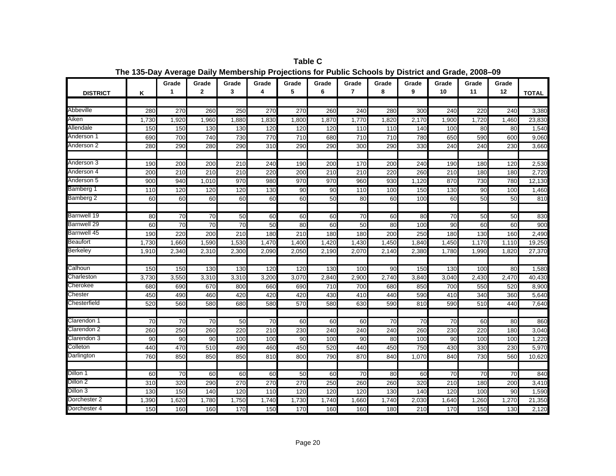|                 |       | Grade | Grade           | Grade            | Grade | Grade | Grade | Grade           | Grade | Grade            | Grade           | Grade | Grade |              |
|-----------------|-------|-------|-----------------|------------------|-------|-------|-------|-----------------|-------|------------------|-----------------|-------|-------|--------------|
| <b>DISTRICT</b> | Κ     | 1     | $\mathbf{2}$    | 3                | 4     | 5     | 6     | $\overline{7}$  | 8     | 9                | 10              | 11    | 12    | <b>TOTAL</b> |
|                 |       |       |                 |                  |       |       |       |                 |       |                  |                 |       |       |              |
| Abbeville       | 280   | 270   | 260             | 250              | 270   | 270   | 260   | 240             | 280   | $\overline{300}$ | 240             | 220   | 240   | 3,380        |
| Aiken           | 1,730 | 1,920 | 1,960           | 1,880            | 1,830 | 1,800 | 1,870 | 1,770           | 1,820 | 2,170            | 1,900           | 1,720 | 1,460 | 23,830       |
| Allendale       | 150   | 150   | 130             | 130              | 120   | 120   | 120   | 110             | 110   | 140              | 100             | 80    | 80    | 1,540        |
| Anderson 1      | 690   | 700   | 740             | 730              | 770   | 710   | 680   | 710             | 710   | 780              | 650             | 590   | 600   | 9,060        |
| Anderson 2      | 280   | 290   | 280             | 290              | 310   | 290   | 290   | 300             | 290   | 330              | 240             | 240   | 230   | 3,660        |
|                 |       |       |                 |                  |       |       |       |                 |       |                  |                 |       |       |              |
| Anderson 3      | 190   | 200   | 200             | 210              | 240   | 190   | 200   | 170             | 200   | 240              | 190             | 180   | 120   | 2,530        |
| Anderson 4      | 200   | 210   | 210             | 210              | 220   | 200   | 210   | 210             | 220   | 260              | 210             | 180   | 180   | 2,720        |
| Anderson 5      | 900   | 940   | 1,010           | 970              | 980   | 970   | 970   | 960             | 930   | 1,120            | 870             | 730   | 780   | 12,130       |
| Bamberg 1       | 110   | 120   | 120             | 120              | 130   | 90    | 90    | 110             | 100   | 150              | 130             | 90    | 100   | 1,460        |
| Bamberg 2       | 60    | 60    | 60              | 60               | 60    | 60    | 50    | 80              | 60    | 100              | 60              | 50    | 50    | 810          |
| Barnwell 19     | 80    | 70    | 70              | 50               | 60    | 60    | 60    | $\overline{70}$ | 60    | 80               | $\overline{70}$ | 50    | 50    | 830          |
| Barnwell 29     | 60    | 70    | $\overline{70}$ | $\overline{70}$  | 50    | 80    | 60    | 50              | 80    | 100              | 90              | 60    | 60    | 900          |
| Barnwell 45     | 190   | 220   | 200             | 210              | 180   | 210   | 180   | 180             | 200   | 250              | 180             | 130   | 160   | 2,490        |
| Beaufort        | 1,730 | 1,660 | 1,590           | 1,530            | 1,470 | 1,400 | 1,420 | 1,430           | 1,450 | 1,840            | 1,450           | 1,170 | 1,110 | 19,250       |
| Berkeley        | 1,910 | 2,340 | 2,310           | 2,300            | 2,090 | 2,050 | 2,190 | 2,070           | 2,140 | 2,380            | 1,780           | 1,990 | 1,820 | 27,370       |
|                 |       |       |                 |                  |       |       |       |                 |       |                  |                 |       |       |              |
| Calhoun         | 150   | 150   | 130             | 130              | 120   | 120   | 130   | 100             | 90    | 150              | 130             | 100   | 80    | 1,580        |
| Charleston      | 3,730 | 3,550 | 3,310           | 3,310            | 3,200 | 3,070 | 2,840 | 2,900           | 2,740 | 3,840            | 3,040           | 2,430 | 2,470 | 40,430       |
| Cherokee        | 680   | 690   | 670             | 800              | 660   | 690   | 710   | 700             | 680   | 850              | 700             | 550   | 520   | 8,900        |
| Chester         | 450   | 490   | 460             | 420              | 420   | 420   | 430   | 410             | 440   | 590              | 410             | 340   | 360   | 5,640        |
| Chesterfield    | 520   | 560   | 580             | 680              | 580   | 570   | 580   | 630             | 590   | 810              | 590             | 510   | 440   | 7,640        |
| Clarendon 1     | 70    | 70    | 70              | 50               | 70    | 60    | 60    | 60              | 70    | 70               | 70              | 60    | 80    | 860          |
| Clarendon 2     | 260   | 250   | 260             | $\overline{220}$ | 210   | 230   | 240   | 240             | 240   | 260              | 230             | 220   | 180   | 3,040        |
| Clarendon 3     | 90    | 90    | 90              | 100              | 100   | 90    | 100   | 90              | 80    | 100              | 90              | 100   | 100   | 1,220        |
| Colleton        | 440   | 470   | 510             | 490              | 460   | 450   | 520   | 440             | 450   | 750              | 430             | 330   | 230   | 5,970        |
| Darlington      | 760   | 850   | 850             | 850              | 810   | 800   | 790   | 870             | 840   | 1,070            | 840             | 730   | 560   | 10,620       |
|                 |       |       |                 |                  |       |       |       |                 |       |                  |                 |       |       |              |
| Dillon 1        | 60    | 70    | 60              | 60               | 60    | 50    | 60    | 70              | 80    | 60               | 70              | 70    | 70    | 840          |
| Dillon 2        | 310   | 320   | 290             | 270              | 270   | 270   | 250   | 260             | 260   | 320              | 210             | 180   | 200   | 3,410        |
| Dillon 3        | 130   | 150   | 140             | 120              | 110   | 120   | 120   | 120             | 130   | 140              | 120             | 100   | 90    | 1,590        |
| Dorchester 2    | 1,390 | 1,620 | 1,780           | 1,750            | 1,740 | 1,730 | 1,740 | 1,660           | 1,740 | 2,030            | 1,640           | 1,260 | 1,270 | 21,350       |
| Dorchester 4    | 150   | 160   | 160             | 170              | 150   | 170   | 160   | 160             | 180   | 210              | 170             | 150   | 130   | 2,120        |

**Table C The 135-Day Average Daily Membership Projections for Public Schools by District and Grade, 2008–09**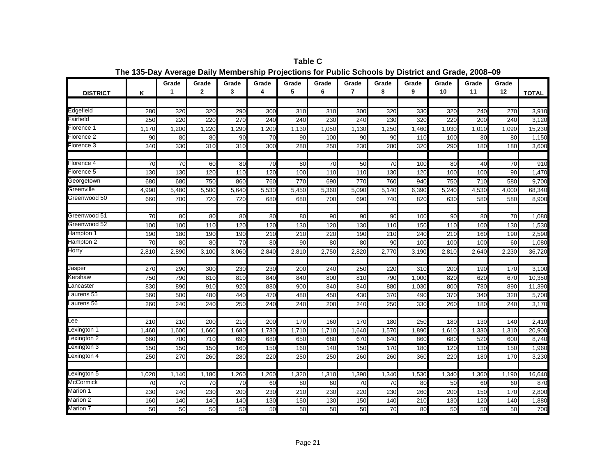Grade I Grade I Grade I Grade I Grade I Grade I Grade I Grade I Grade I Grade I Grade I Grade **1 2 3 4 5 6 7 8 9 10 11 12DISTRICTK**K | <sup>1</sup> | <sup>2</sup> | 3 | 4 | 5 | 6 | *I* | 8 | 9 | <sup>10</sup> | <sup>11</sup> | <sup>12</sup> |TOTAL Edgefield <sup>280</sup> <sup>320</sup> <sup>320</sup> <sup>290</sup> <sup>300</sup> <sup>310</sup> <sup>310</sup> <sup>300</sup> <sup>320</sup> <sup>330</sup> <sup>320</sup> <sup>240</sup> <sup>270</sup> 3,910 Fairfield 250 220 220 270 240 240 230 240 230 320 220 200 240 3,120 Florence 11 1,170 1,200 1,220 1,290 1,130 1,130 1,130 1,250 1,460 1,030 1,010 1,090 15,230 Florence 22 | 90| 80| 80| 90| 70| 90| 100| 90| 90| 110| 100| 80| 80| 1,150 Florence 3 340 330 310 310 300 280 250 230 280 320 290 180 180 3,600 Florence 44 | 70 70 60 80 70 80 70 50 70 100 80 80 40 70 910  $910$ Florence 5 130 130 120 110 120 100 110 110 130 120 100 100 90 1,470 Georgetown <sup>680</sup> <sup>680</sup> <sup>750</sup> <sup>860</sup> <sup>760</sup> <sup>770</sup> <sup>690</sup> <sup>770</sup> <sup>760</sup> <sup>940</sup> <sup>750</sup> <sup>710</sup> <sup>580</sup> 9,700 Greenville 4,990 5,480 5,500 5,640 5,530 5,450 5,360 5,090 5,140 6,390 5,240 4,530 4,000 68,340 Greenwood 500 | 660| 700| 720| 720| 680| 680| 700| 690| 740| 820| 630| 580| 580| 8,900 Greenwood 511 | 70 80 80 80 80 80 80 90 90 90 100 100 90 80 70 1,080 Greenwood 522 | 100| 100| 110| 120| 120| 130| 120| 130| 130| 110| 150| 110| 100| 130| 1,530 Hampton 1 | 190 | 190 | 190 | 210 | 210 | 220 | 190 | 240 | 210 | 160 | 190 | 2,590 Hampton 2 70 80 80 70 80 90 80 80 90 100 100 100 60 1,080 Horry 2,810 2,890 3,100 3,060 2,840 2,810 2,750 2,820 2,770 3,190 2,810 2,640 2,230 36,720 Jasper | 270 290 300 230 230 200 200 240 250 220 310 200 190 170 3,100 Kershaw 750 790 810 810 840 840 800 810 790 1,000 820 620 670 10,350 Lancasterr | 830| 890| 910| 920| 880| 900| 840| 840| 880| 1,030| 800| 780| 890| 11,390 Laurens 555 | 560| 500| 480| 440| 470| 480| 450| 430| 370| 490| 370| 340| 320| 5,700 Laurens 566 || 260|| 240|| 240|| 250|| 240|| 240|| 200|| 240|| 250|| 330|| 260|| 180|| 240|| 3,170 Lee 210 210 200 210 200 170 160 170 180 250 180 130 140 2,410 Lexington 1 1,460 1,600 1,660 1,680 1,730 1,710 1,710 1,640 1,570 1,890 1,610 1,330 1,310 20,900 Lexington 2 660 700 710 690 680 650 680 670 640 860 680 520 600 8,740 Lexington 3 150 150 150 160 150 160 140 150 170 180 120 130 150 1,960 Lexington 4 250 270 260 280 220 250 250 260 260 360 220 180 170 3,230 Lexington 5 1,020 1,140 1,180 1,260 1,260 1,320 1,310 1,390 1,340 1,530 1,340 1,360 1,190 16,640 McCormickK || 70 70 70 70 60 80 60 70 70 70 80 50 60 60 870 Marion 1 230 240 230 200 230 210 230 220 230 260 200 150 170 2,800 Marion 22 160 140 140 130 150 130 140 210 130 120 140 1,880 Marion 7 50 50 50 50 50 50 50 50 70 80 50 50 50 700700

**Table CThe 135-Day Average Daily Membership Projections for Public Schools by District and Grade, 2008–09**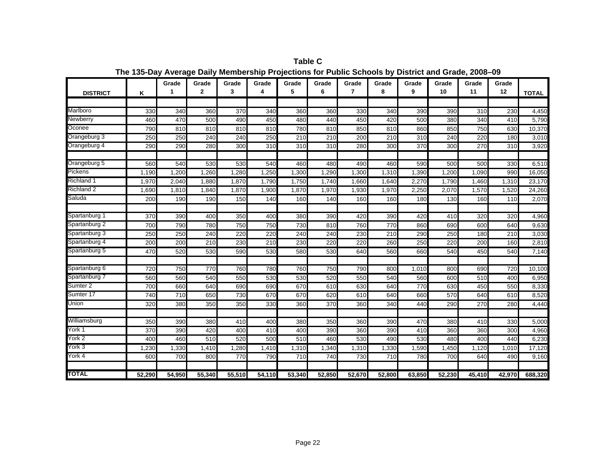|                     |        | Grade  | Grade        | Grade  | Grade  | Grade  | Grade  | Grade  | Grade  | Grade  | Grade  | Grade  | Grade  |              |
|---------------------|--------|--------|--------------|--------|--------|--------|--------|--------|--------|--------|--------|--------|--------|--------------|
| <b>DISTRICT</b>     | Κ      | 1      | $\mathbf{2}$ | 3      | 4      | 5      | 6      | 7      | 8      | 9      | 10     | 11     | 12     | <b>TOTAL</b> |
|                     |        |        |              |        |        |        |        |        |        |        |        |        |        |              |
| Marlboro            | 330    | 340    | 360          | 370    | 340    | 360    | 360    | 330    | 340    | 390    | 390    | 310    | 230    | 4,450        |
| Newberry            | 460    | 470    | 500          | 490    | 450    | 480    | 440    | 450    | 420    | 500    | 380    | 340    | 410    | 5,790        |
| Oconee              | 790    | 810    | 810          | 810    | 810    | 780    | 810    | 850    | 810    | 860    | 850    | 750    | 630    | 10,370       |
| Orangeburg 3        | 250    | 250    | 240          | 240    | 250    | 210    | 210    | 200    | 210    | 310    | 240    | 220    | 180    | 3,010        |
| Orangeburg 4        | 290    | 290    | 280          | 300    | 310    | 310    | 310    | 280    | 300    | 370    | 300    | 270    | 310    | 3,920        |
| Orangeburg 5        | 560    | 540    | 530          | 530    | 540    | 460    | 480    | 490    | 460    | 590    | 500    | 500    | 330    | 6,510        |
| Pickens             | 1,190  | 1,200  | 1,260        | 1,280  | 1,250  | 1,300  | 1,290  | 1,300  | 1,310  | 1,390  | 1,200  | 1,090  | 990    | 16,050       |
| Richland 1          | 1,970  | 2,040  | 1,880        | 1,870  | 1,790  | 1,750  | 1,740  | 1,660  | 1,640  | 2,270  | 1,790  | 1,460  | 1,310  | 23,170       |
| Richland 2          | 1,690  | 1,810  | 1,840        | 1,870  | 1,900  | 1,870  | 1,970  | 1,930  | 1,970  | 2,250  | 2,070  | 1,570  | 1,520  | 24,260       |
| Saluda              | 200    | 190    | 190          | 150    | 140    | 160    | 140    | 160    | 160    | 180    | 130    | 160    | 110    | 2,070        |
|                     |        |        |              |        |        |        |        |        |        |        |        |        |        |              |
| Spartanburg 1       | 370    | 390    | 400          | 350    | 400    | 380    | 390    | 420    | 390    | 420    | 410    | 320    | 320    | 4,960        |
| Spartanburg 2       | 700    | 790    | 780          | 750    | 750    | 730    | 810    | 760    | 770    | 860    | 690    | 600    | 640    | 9,630        |
| Spartanburg 3       | 250    | 250    | 240          | 220    | 220    | 240    | 240    | 230    | 210    | 290    | 250    | 180    | 210    | 3,030        |
| Spartanburg 4       | 200    | 200    | 210          | 230    | 210    | 230    | 220    | 220    | 260    | 250    | 220    | 200    | 160    | 2,810        |
| Spartanburg 5       | 470    | 520    | 530          | 590    | 530    | 580    | 530    | 640    | 560    | 660    | 540    | 450    | 540    | 7,140        |
| Spartanburg 6       | 720    | 750    | 770          | 760    | 780    | 760    | 750    | 790    | 800    | 1,010  | 800    | 690    | 720    | 10,100       |
| Spartanburg 7       | 560    | 560    | 540          | 550    | 530    | 530    | 520    | 550    | 540    | 560    | 600    | 510    | 400    | 6,950        |
| Sumter <sub>2</sub> | 700    | 660    | 640          | 690    | 690    | 670    | 610    | 630    | 640    | 770    | 630    | 450    | 550    | 8,330        |
| Sumter 17           | 740    | 710    | 650          | 730    | 670    | 670    | 620    | 610    | 640    | 660    | 570    | 640    | 610    | 8,520        |
| Union               | 320    | 380    | 350          | 350    | 330    | 360    | 370    | 360    | 340    | 440    | 290    | 270    | 280    | 4,440        |
| Williamsburg        |        |        |              |        |        |        |        |        |        |        |        |        |        |              |
| York 1              | 350    | 390    | 380          | 410    | 400    | 380    | 350    | 360    | 390    | 470    | 380    | 410    | 330    | 5,000        |
|                     | 370    | 390    | 420          | 400    | 410    | 400    | 390    | 360    | 390    | 410    | 360    | 360    | 300    | 4,960        |
| York 2              | 400    | 460    | 510          | 520    | 500    | 510    | 460    | 530    | 490    | 530    | 480    | 400    | 440    | 6,230        |
| York 3              | 1,230  | 1,330  | 1,410        | 1,280  | 1,410  | 1,310  | 1,340  | 1,310  | 1,330  | 1,590  | 1,450  | 1,120  | 1,010  | 17,120       |
| York 4              | 600    | 700    | 800          | 770    | 790    | 710    | 740    | 730    | 710    | 780    | 700    | 640    | 490    | 9,160        |
| <b>TOTAL</b>        | 52,290 | 54,950 | 55.340       | 55,510 | 54,110 | 53.340 | 52,850 | 52,670 | 52.800 | 63,850 | 52,230 | 45,410 | 42,970 | 688,320      |

**Table C The 135-Day Average Daily Membership Projections for Public Schools by District and Grade, 2008–09**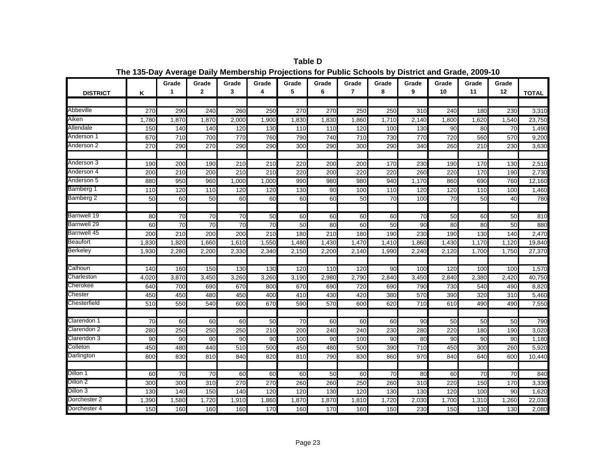|                 |       | Grade            | Grade           | Grade           | Grade           | Grade | Grade | Grade          | Grade | Grade            | Grade | Grade | Grade |              |
|-----------------|-------|------------------|-----------------|-----------------|-----------------|-------|-------|----------------|-------|------------------|-------|-------|-------|--------------|
| <b>DISTRICT</b> | Κ     | 1                | $\mathbf{2}$    | 3               | 4               | 5     | 6     | $\overline{7}$ | 8     | 9                | 10    | 11    | 12    | <b>TOTAL</b> |
|                 |       |                  |                 |                 |                 |       |       |                |       |                  |       |       |       |              |
| Abbeville       | 270   | 290              | 240             | 260             | 250             | 270   | 270   | 250            | 250   | $\overline{310}$ | 240   | 180   | 230   | 3,310        |
| Aiken           | 1,780 | 1,870            | 1,870           | 2,000           | 1,900           | 1,830 | 1,830 | 1,860          | 1,710 | 2,140            | 1,800 | 1,620 | 1,540 | 23,750       |
| Allendale       | 150   | 140              | 140             | 120             | 130             | 110   | 110   | 120            | 100   | 130              | 90    | 80    | 70    | 1,490        |
| Anderson 1      | 670   | 710              | 700             | 770             | 760             | 790   | 740   | 710            | 730   | 770              | 720   | 560   | 570   | 9,200        |
| Anderson 2      | 270   | 290              | 270             | 290             | 290             | 300   | 290   | 300            | 290   | 340              | 260   | 210   | 230   | 3,630        |
|                 |       |                  |                 |                 |                 |       |       |                |       |                  |       |       |       |              |
| Anderson 3      | 190   | 200              | 190             | 210             | 210             | 220   | 200   | 200            | 170   | 230              | 190   | 170   | 130   | 2,510        |
| Anderson 4      | 200   | 210              | 200             | 210             | 210             | 220   | 200   | 220            | 220   | 260              | 220   | 170   | 190   | 2,730        |
| Anderson 5      | 880   | 950              | 960             | 1,000           | 1,000           | 990   | 980   | 980            | 940   | 1,170            | 860   | 690   | 760   | 12,160       |
| Bamberg 1       | 110   | 120              | 110             | 120             | 120             | 130   | 90    | 100            | 110   | 120              | 120   | 110   | 100   | 1,460        |
| Bamberg 2       | 50    | 60               | 50              | 60              | 60              | 60    | 60    | 50             | 70    | 100              | 70    | 50    | 40    | 780          |
| Barnwell 19     | 80    | 70               | 70              | 70              | 50              | 60    | 60    | 60             | 60    | 70               | 50    | 60    | 50    | 810          |
| Barnwell 29     | 60    | 70               | $\overline{70}$ | $\overline{70}$ | $\overline{70}$ | 50    | 80    | 60             | 50    | 90               | 80    | 80    | 50    | 880          |
| Barnwell 45     | 200   | $\overline{210}$ | 200             | 200             | 210             | 180   | 210   | 180            | 190   | 230              | 190   | 130   | 140   | 2,470        |
| Beaufort        | 1,830 | 1,820            | 1,660           | 1,610           | 1,550           | 1,480 | 1,430 | 1,470          | 1,410 | 1,860            | 1,430 | 1,170 | 1,120 | 19,840       |
| Berkeley        | 1,930 | 2,280            | 2,200           | 2,330           | 2,340           | 2,150 | 2,200 | 2,140          | 1,990 | 2,240            | 2,120 | 1,700 | 1,750 | 27,370       |
|                 |       |                  |                 |                 |                 |       |       |                |       |                  |       |       |       |              |
| Calhoun         | 140   | 160              | 150             | 130             | 130             | 120   | 110   | 120            | 90    | 100              | 120   | 100   | 100   | 1,570        |
| Charleston      | 4,020 | 3,870            | 3,450           | 3,260           | 3,260           | 3,190 | 2,980 | 2,790          | 2,840 | 3,450            | 2,840 | 2,380 | 2,420 | 40,750       |
| Cherokee        | 640   | 700              | 690             | 670             | 800             | 670   | 690   | 720            | 690   | 790              | 730   | 540   | 490   | 8,820        |
| Chester         | 450   | 450              | 480             | 450             | 400             | 410   | 430   | 420            | 380   | 570              | 390   | 320   | 310   | 5,460        |
| Chesterfield    | 510   | 550              | 540             | 600             | 670             | 590   | 570   | 600            | 620   | $\overline{710}$ | 610   | 490   | 490   | 7,550        |
| Clarendon 1     | 70    | 60               | 60              | 60              | 50              | 70    | 60    | 60             | 60    | 90               | 50    | 50    | 50    | 790          |
| Clarendon 2     | 280   | 250              | 250             | 250             | 210             | 200   | 240   | 240            | 230   | 280              | 220   | 180   | 190   | 3,020        |
| Clarendon 3     | 90    | 90               | 90              | 90              | 90              | 100   | 90    | 100            | 90    | 80               | 90    | 90    | 90    | 1,180        |
| Colleton        | 450   | 480              | 440             | 510             | 500             | 450   | 480   | 500            | 390   | 710              | 450   | 300   | 260   | 5,920        |
| Darlington      | 800   | 830              | 810             | 840             | 820             | 810   | 790   | 830            | 860   | 970              | 840   | 640   | 600   | 10,440       |
|                 |       |                  |                 |                 |                 |       |       |                |       |                  |       |       |       |              |
| Dillon 1        | 60    | 70               | 70              | 60              | 60              | 60    | 50    | 60             | 70    | 80               | 60    | 70    | 70    | 840          |
| Dillon 2        | 300   | 300              | 310             | 270             | 270             | 260   | 260   | 250            | 260   | 310              | 220   | 150   | 170   | 3,330        |
| Dillon 3        | 130   | 140              | 150             | 140             | 120             | 120   | 130   | 120            | 130   | 130              | 120   | 100   | 90    | 1,620        |
| Dorchester 2    | 1,390 | 1,580            | 1,720           | 1,910           | 1,860           | 1,870 | 1,870 | 1,810          | 1,720 | 2,030            | 1,700 | 1,310 | 1,260 | 22,030       |
| Dorchester 4    | 150   | 160              | 160             | 160             | 170             | 160   | 170   | 160            | 150   | 230              | 150   | 130   | 130   | 2,080        |

**Table D The 135-Day Average Daily Membership Projections for Public Schools by District and Grade, 2009-10**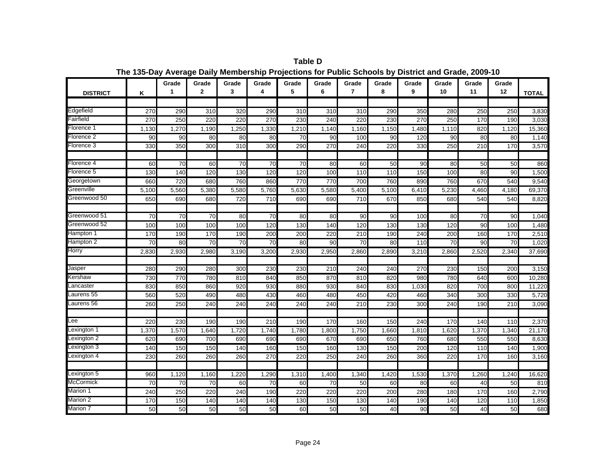|                       |       | Grade           | Grade           | Grade            | Grade | Grade | Grade | Grade          | Grade | Grade | Grade | Grade | Grade |              |
|-----------------------|-------|-----------------|-----------------|------------------|-------|-------|-------|----------------|-------|-------|-------|-------|-------|--------------|
| <b>DISTRICT</b>       | K     | $\mathbf 1$     | $\mathbf{2}$    | 3                | 4     | 5     | 6     | $\overline{7}$ | 8     | 9     | 10    | 11    | 12    | <b>TOTAL</b> |
|                       |       |                 |                 |                  |       |       |       |                |       |       |       |       |       |              |
| Edgefield             | 270   | 290             | 310             | 320              | 290   | 310   | 310   | 310            | 290   | 350   | 280   | 250   | 250   | 3,830        |
| <sup>=</sup> airfield | 270   | 250             | 220             | 220              | 270   | 230   | 240   | 220            | 230   | 270   | 250   | 170   | 190   | 3,030        |
| Florence 1            | 1,130 | 1,270           | 1,190           | 1,250            | 1,330 | 1,210 | 1,140 | 1,160          | 1,150 | 1,480 | 1,110 | 820   | 1,120 | 15,360       |
| Florence 2            | 90    | 90              | 80              | 80               | 80    | 70    | 90    | 100            | 90    | 120   | 90    | 80    | 80    | 1,140        |
| Florence 3            | 330   | 350             | 300             | $\overline{310}$ | 300   | 290   | 270   | 240            | 220   | 330   | 250   | 210   | 170   | 3,570        |
|                       |       |                 |                 |                  |       |       |       |                |       |       |       |       |       |              |
| Florence 4            | 60    | 70              | 60              | 70               | 70    | 70    | 80    | 60             | 50    | 90    | 80    | 50    | 50    | 860          |
| Florence 5            | 130   | 140             | 120             | 130              | 120   | 120   | 100   | 110            | 110   | 150   | 100   | 80    | 90    | 1,500        |
| Georgetown            | 660   | 720             | 680             | 760              | 860   | 770   | 770   | 700            | 760   | 890   | 760   | 670   | 540   | 9,540        |
| Greenville            | 5,100 | 5,560           | 5,380           | 5,580            | 5,760 | 5,630 | 5,580 | 5,400          | 5,100 | 6,410 | 5,230 | 4,460 | 4,180 | 69,370       |
| Greenwood 50          | 650   | 690             | 680             | 720              | 710   | 690   | 690   | 710            | 670   | 850   | 680   | 540   | 540   | 8,820        |
|                       |       |                 |                 |                  |       |       |       |                |       |       |       |       |       |              |
| Greenwood 51          | 70    | $\overline{70}$ | 70              | 80               | 70    | 80    | 80    | 90             | 90    | 100   | 80    | 70    | 90    | 1,040        |
| Greenwood 52          | 100   | 100             | 100             | 100              | 120   | 130   | 140   | 120            | 130   | 130   | 120   | 90    | 100   | 1,480        |
| Hampton 1             | 170   | 190             | 170             | 190              | 200   | 200   | 220   | 210            | 190   | 240   | 200   | 160   | 170   | 2,510        |
| Hampton 2             | 70    | 80              | $\overline{70}$ | 70               | 70    | 80    | 90    | 70             | 80    | 110   | 70    | 90    | 70    | 1,020        |
| Horry                 | 2,830 | 2,930           | 2,980           | 3,190            | 3,200 | 2,930 | 2,950 | 2,860          | 2,890 | 3,210 | 2,860 | 2,520 | 2,340 | 37,690       |
|                       |       |                 |                 |                  |       |       |       |                |       |       |       |       |       |              |
| Jasper                | 280   | 290             | 280             | 300              | 230   | 230   | 210   | 240            | 240   | 270   | 230   | 150   | 200   | 3,150        |
| Kershaw               | 730   | 770             | 780             | 810              | 840   | 850   | 870   | 810            | 820   | 980   | 780   | 640   | 600   | 10,280       |
| _ancaster             | 830   | 850             | 860             | 920              | 930   | 880   | 930   | 840            | 830   | 1,030 | 820   | 700   | 800   | 11,220       |
| Laurens 55            | 560   | 520             | 490             | 480              | 430   | 460   | 480   | 450            | 420   | 460   | 340   | 300   | 330   | 5,720        |
| Laurens 56            | 260   | 250             | 240             | 240              | 240   | 240   | 240   | 210            | 230   | 300   | 240   | 190   | 210   | 3,090        |
|                       |       |                 |                 |                  |       |       |       |                |       |       |       |       |       |              |
| -ee                   | 220   | 230             | 190             | 190              | 210   | 190   | 170   | 160            | 150   | 240   | 170   | 140   | 110   | 2,370        |
| exington 1            | 1,370 | 1,570           | 1,640           | 1,720            | 1,740 | 1,780 | 1.800 | 1,750          | 1,660 | 1,810 | 1,620 | 1,370 | 1,340 | 21,170       |
| _exington 2           | 620   | 690             | 700             | 690              | 690   | 690   | 670   | 690            | 650   | 760   | 680   | 550   | 550   | 8,630        |
| Lexington 3           | 140   | 150             | 150             | 140              | 160   | 150   | 160   | 130            | 150   | 200   | 120   | 110   | 140   | 1,900        |
| Lexington 4           | 230   | 260             | 260             | 260              | 270   | 220   | 250   | 240            | 260   | 360   | 220   | 170   | 160   | 3,160        |
|                       |       |                 |                 |                  |       |       |       |                |       |       |       |       |       |              |
| Lexington 5           | 960   | 1,120           | 1,160           | 1,220            | 1,290 | 1,310 | 1,400 | 1,340          | 1,420 | 1,530 | 1,370 | 1,260 | 1,240 | 16,620       |
| McCormick             | 70    | 70              | 70              | 60               | 70    | 60    | 70    | 50             | 60    | 80    | 60    | 40    | 50    | 810          |
| Marion 1              | 240   | 250             | 220             | 240              | 190   | 220   | 220   | 220            | 200   | 280   | 180   | 170   | 160   | 2,790        |
| Marion 2              | 170   | 150             | 140             | 140              | 140   | 130   | 150   | 130            | 140   | 190   | 140   | 120   | 110   | 1,850        |
| Marion 7              | 50    | 50              | 50              | 50               | 50    | 60    | 50    | 50             | 40    | 90    | 50    | 40    | 50    | 680          |

**Table D The 135-Day Average Daily Membership Projections for Public Schools by District and Grade, 2009-10**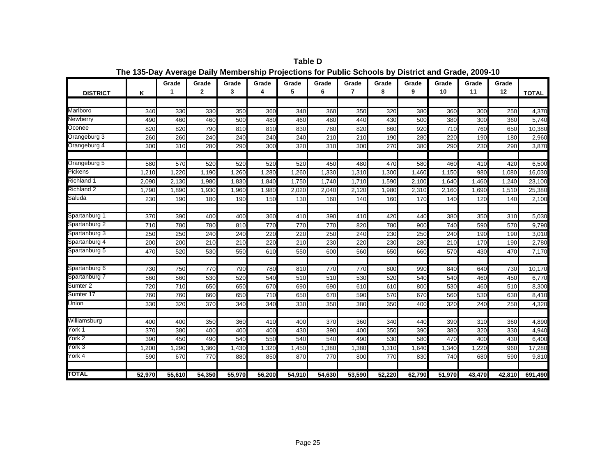|                     |        | Grade  | Grade        | Grade  | Grade  | Grade  | Grade  | Grade  | Grade  | Grade  | Grade  | Grade  | Grade  |              |
|---------------------|--------|--------|--------------|--------|--------|--------|--------|--------|--------|--------|--------|--------|--------|--------------|
| <b>DISTRICT</b>     | Κ      | 1      | $\mathbf{2}$ | 3      | 4      | 5      | 6      | 7      | 8      | 9      | 10     | 11     | 12     | <b>TOTAL</b> |
|                     |        |        |              |        |        |        |        |        |        |        |        |        |        |              |
| Marlboro            | 340    | 330    | 330          | 350    | 360    | 340    | 360    | 350    | 320    | 380    | 360    | 300    | 250    | 4,370        |
| Newberry            | 490    | 460    | 460          | 500    | 480    | 460    | 480    | 440    | 430    | 500    | 380    | 300    | 360    | 5,740        |
| Oconee              | 820    | 820    | 790          | 810    | 810    | 830    | 780    | 820    | 860    | 920    | 710    | 760    | 650    | 10,380       |
| Orangeburg 3        | 260    | 260    | 240          | 240    | 240    | 240    | 210    | 210    | 190    | 280    | 220    | 190    | 180    | 2,960        |
| Orangeburg 4        | 300    | 310    | 280          | 290    | 300    | 320    | 310    | 300    | 270    | 380    | 290    | 230    | 290    | 3,870        |
|                     |        |        |              |        |        |        |        |        |        |        |        |        |        |              |
| Orangeburg 5        | 580    | 570    | 520          | 520    | 520    | 520    | 450    | 480    | 470    | 580    | 460    | 410    | 420    | 6,500        |
| Pickens             | 1,210  | 1.220  | 1,190        | 1,260  | 1,280  | 1,260  | 1,330  | 1,310  | 1,300  | 1,460  | 1,150  | 980    | 1,080  | 16,030       |
| Richland 1          | 2,090  | 2,130  | 1,980        | 1,830  | 1,840  | 1,750  | 1,740  | 1,710  | 1,590  | 2,100  | 1,640  | 1,460  | 1,240  | 23,100       |
| Richland 2          | 1,790  | 1,890  | 1,930        | 1,960  | 1,980  | 2,020  | 2,040  | 2,120  | 1,980  | 2,310  | 2,160  | 1,690  | 1,510  | 25,380       |
| Saluda              | 230    | 190    | 180          | 190    | 150    | 130    | 160    | 140    | 160    | 170    | 140    | 120    | 140    | 2,100        |
|                     |        |        |              |        |        |        |        |        |        |        |        |        |        |              |
| Spartanburg 1       | 370    | 390    | 400          | 400    | 360    | 410    | 390    | 410    | 420    | 440    | 380    | 350    | 310    | 5,030        |
| Spartanburg 2       | 710    | 780    | 780          | 810    | 770    | 770    | 770    | 820    | 780    | 900    | 740    | 590    | 570    | 9,790        |
| Spartanburg 3       | 250    | 250    | 240          | 240    | 220    | 220    | 250    | 240    | 230    | 250    | 240    | 190    | 190    | 3,010        |
| Spartanburg 4       | 200    | 200    | 210          | 210    | 220    | 210    | 230    | 220    | 230    | 280    | 210    | 170    | 190    | 2,780        |
| Spartanburg 5       | 470    | 520    | 530          | 550    | 610    | 550    | 600    | 560    | 650    | 660    | 570    | 430    | 470    | 7,170        |
| Spartanburg 6       | 730    | 750    | 770          | 790    | 780    | 810    | 770    | 770    | 800    | 990    | 840    | 640    | 730    | 10,170       |
| Spartanburg 7       | 560    | 560    | 530          | 520    | 540    | 510    | 510    | 530    | 520    | 540    | 540    | 460    | 450    | 6,770        |
| Sumter <sub>2</sub> | 720    | 710    | 650          | 650    | 670    | 690    | 690    | 610    | 610    | 800    | 530    | 460    | 510    | 8,300        |
| Sumter 17           | 760    | 760    | 660          | 650    | 710    | 650    | 670    | 590    | 570    | 670    | 560    | 530    | 630    | 8,410        |
| Union               | 330    | 320    | 370          | 340    | 340    | 330    | 350    | 380    | 350    | 400    | 320    | 240    | 250    | 4,320        |
|                     |        |        |              |        |        |        |        |        |        |        |        |        |        |              |
| Williamsburg        | 400    | 400    | 350          | 360    | 410    | 400    | 370    | 360    | 340    | 440    | 390    | 310    | 360    | 4,890        |
| York 1              | 370    | 380    | 400          | 400    | 400    | 430    | 390    | 400    | 350    | 390    | 380    | 320    | 330    | 4,940        |
| York 2              | 390    | 450    | 490          | 540    | 550    | 540    | 540    | 490    | 530    | 580    | 470    | 400    | 430    | 6,400        |
| York 3              | 1,200  | 1,290  | 1,360        | 1,430  | 1,320  | 1,450  | 1,380  | 1,380  | 1,310  | 1,640  | 1,340  | .220   | 960    | 17,280       |
| York 4              | 590    | 670    | 770          | 880    | 850    | 870    | 770    | 800    | 770    | 830    | 740    | 680    | 590    | 9,810        |
|                     |        |        |              |        |        |        |        |        |        |        |        |        |        |              |
| <b>TOTAL</b>        | 52,970 | 55,610 | 54,350       | 55,970 | 56,200 | 54,910 | 54.630 | 53,590 | 52,220 | 62,790 | 51,970 | 43,470 | 42,810 | 691,490      |

**Table D The 135-Day Average Daily Membership Projections for Public Schools by District and Grade, 2009-10**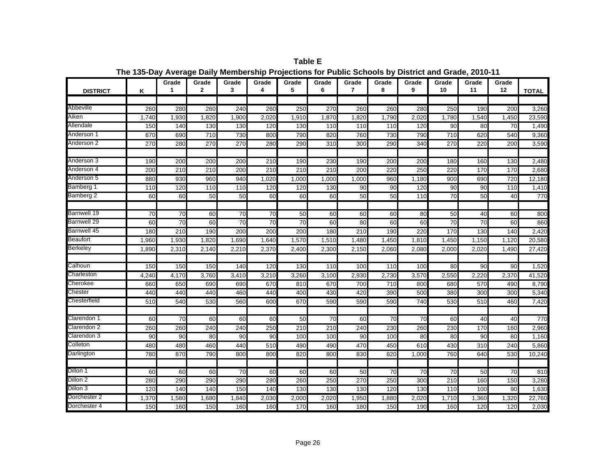| <b>DISTRICT</b>    | Κ               | Grade<br>1       | Grade<br>$\mathbf{2}$ | Grade<br>3      | Grade<br>4      | Grade<br>5       | Grade<br>6      | Grade<br>$\overline{7}$ | Grade<br>8 | Grade<br>9 | Grade<br>10     | Grade<br>11      | Grade<br>12 | <b>TOTAL</b> |
|--------------------|-----------------|------------------|-----------------------|-----------------|-----------------|------------------|-----------------|-------------------------|------------|------------|-----------------|------------------|-------------|--------------|
|                    |                 |                  |                       |                 |                 |                  |                 |                         |            |            |                 |                  |             |              |
| Abbeville          | 260             | 280              | 260                   | 240             | 260             | 250              | 270             | 260                     | 260        | 280        | 250             | 190              | 200         | 3,260        |
| Aiken              | 1,740           | 1,930            | 1,820                 | 1,900           | 2,020           | 1,910            | 1,870           | 1,820                   | 1,790      | 2,020      | 1,780           | 1,540            | 1,450       | 23,590       |
| Allendale          | 150             | 140              | 130                   | 130             | 120             | 130              | 110             | 110                     | 110        | 120        | 90              | 80               | 70          | 1,490        |
| Anderson 1         | 670             | 690              | 710                   | 730             | 800             | 790              | 820             | 760                     | 730        | 790        | 710             | 620              | 540         | 9,360        |
| Anderson 2         | 270             | 280              | 270                   | 270             | 280             | 290              | 310             | 300                     | 290        | 340        | 270             | 220              | 200         | 3,590        |
| Anderson 3         | 190             | 200              | 200                   | 200             | 210             | 190              | 230             | 190                     | 200        | 200        | 180             | 160              | 130         | 2,480        |
| Anderson 4         | 200             | 210              | 210                   | 200             | 210             | 210              | 210             | 200                     | 220        | 250        | 220             | 170              | 170         | 2,680        |
| Anderson 5         | 880             | 930              | 960                   | 940             | 1,020           | 1,000            | 1,000           | 1,000                   | 960        | 1,180      | 900             | 690              | 720         | 12,180       |
| Bamberg 1          | 110             | 120              | 110                   | 110             | 120             | 120              | 130             | 90                      | 90         | 120        | 90              | 90               | 110         | 1,410        |
| Bamberg 2          | 60              | 60               | 50                    | 50              | 60              | 60               | 60              | 50                      | 50         | 110        | $\overline{70}$ | 50               | 40          | 770          |
| <b>Barnwell 19</b> | $\overline{70}$ | 70               | 60                    | $\overline{70}$ | 70              | 50               | 60              | 60                      | 60         | 80         | 50              | 40               | 60          | 800          |
| Barnwell 29        | 60              | $\overline{70}$  | 60                    | $\overline{70}$ | $\overline{70}$ | $\overline{70}$  | 60              | 80                      | 60         | 60         | 70              | $\overline{70}$  | 60          | 860          |
| Barnwell 45        | 180             | $\overline{210}$ | 190                   | 200             | 200             | 200              | 180             | 210                     | 190        | 220        | 170             | 130              | 140         | 2,420        |
| Beaufort           | 1,960           | 1.930            | 1,820                 | 1.690           | 1.640           | 1,570            | 1,510           | 1.480                   | 1,450      | 1,810      | 1,450           | 1.150            | 1.120       | 20,580       |
| <b>Berkeley</b>    | 1,890           | 2,310            | 2,140                 | 2,210           | 2,370           | 2,400            | 2,300           | 2,150                   | 2,060      | 2,080      | 2,000           | 2,020            | 1,490       | 27,420       |
|                    |                 |                  |                       |                 |                 |                  |                 |                         |            |            |                 |                  |             |              |
| Calhoun            | 150             | 150              | 150                   | 140             | 120             | 130              | 110             | 100                     | 110        | 100        | 80              | 90               | 90          | 1,520        |
| Charleston         | 4,240           | 4,170            | 3,760                 | 3,410           | 3,210           | 3,260            | 3,100           | 2,930                   | 2,730      | 3,570      | 2,550           | 2,220            | 2,370       | 41,520       |
| Cherokee           | 660             | 650              | 690                   | 690             | 670             | 810              | 670             | 700                     | 710        | 800        | 680             | 570              | 490         | 8,790        |
| Chester            | 440             | 440              | 440                   | 460             | 440             | 400              | 430             | 420                     | 390        | 500        | 380             | 300              | 300         | 5,340        |
| Chesterfield       | 510             | 540              | 530                   | 560             | 600             | 670              | 590             | 590                     | 590        | 740        | 530             | 510              | 460         | 7,420        |
| Clarendon 1        | 60              | 70               | 60                    | 60              | 60              | 50               | $\overline{70}$ | 60                      | 70         | 70         | 60              | 40               | 40          | 770          |
| Clarendon 2        | 260             | 260              | 240                   | 240             | 250             | $\overline{210}$ | 210             | 240                     | 230        | 260        | 230             | 170              | 160         | 2,960        |
| Clarendon 3        | 90              | 90               | 80                    | 90              | 90              | 100              | 100             | 90                      | 100        | 80         | 80              | 90               | 80          | 1,160        |
| Colleton           | 480             | 480              | 460                   | 440             | 510             | 490              | 490             | 470                     | 450        | 610        | 430             | $\overline{310}$ | 240         | 5,860        |
| Darlington         | 780             | 870              | 790                   | 800             | 800             | 820              | 800             | 830                     | 820        | 1,000      | 760             | 640              | 530         | 10,240       |
| Dillon 1           | 60              | 60               | 60                    | 70              | 60              | 60               | 60              | 50                      | 70         | 70         | 70              | 50               | 70          | 810          |
| Dillon 2           | 280             | 290              | 290                   | 290             | 280             | 260              | 250             | 270                     | 250        | 300        | 210             | 160              | 150         | 3,280        |
| Dillon 3           | 120             | 140              | 140                   | 150             | 140             | 130              | 130             | 130                     | 120        | 130        | 110             | 100              | 90          | 1,630        |
| Dorchester 2       | 1,370           | 1,580            | 1,680                 | 1,840           | 2,030           | 2,000            | 2,020           | 1,950                   | 1,880      | 2,020      | 1,710           | 1,360            | 1,320       | 22,760       |
| Dorchester 4       | 150             | 160              | 150                   | 160             | 160             | 170              | 160             | 180                     | 150        | 190        | 160             | 120              | 120         | 2,030        |

**Table E The 135-Day Average Daily Membership Projections for Public Schools by District and Grade, 2010-11**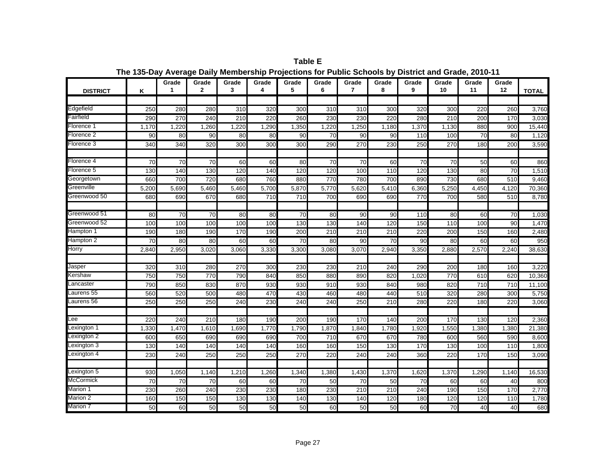Grade I Grade I Grade I Grade I Grade I Grade I Grade I Grade I Grade I Grade I Grade I Grade **1 2 3 4 5 6 7 8 9 10 11 12DISTRICTKK** | 1 | 2 | 3 | 4 | 5 | 6 | 7 | 8 | 9 | 10 | 11 | 12 |TOTAL Edgefield <sup>250</sup> <sup>280</sup> <sup>280</sup> <sup>310</sup> <sup>320</sup> <sup>300</sup> <sup>310</sup> <sup>310</sup> <sup>300</sup> <sup>320</sup> <sup>300</sup> <sup>220</sup> <sup>260</sup> 3,760 Fairfield 290 270 240 210 220 260 230 230 220 280 210 200 170 3,030 Florence 11 1,170 1,220 1,280 1,220 1,350 1,220 1,220 1,180 1,130 880 900 15,440 Florence 22 | 90| 80| 90| 80| 80| 90| 70| 90| 90| 110| 100| 70| 80| 1,120 Florence 3 340 340 320 300 300 300 290 270 230 250 270 180 200 3,590 Florence 44 | 70 70 70 60 60 80 70 70 60 70 70 70 70 70 70 50 Florence 55 | 130| 140| 130| 120| 140| 120| 120| 100| 110| 120| 130| 80| 70| 1,510 Georgetown | 660 700 720 680 760 880 770 780 700 890 730 680 510 9,460 Greenville 5,200 5,690 5,460 5,460 5,700 5,870 5,770 5,620 5,410 6,360 5,250 4,450 4,120 70,360 Greenwood 50<sup>0</sup> | 680| 690| 670| 680| 710| 710| 700| 690| 690| 770| 700| 580| 510| 8,780 Greenwood 511 || 80|| 70|| 70|| 80|| 80|| 70|| 80|| 90|| 90|| 110|| 80|| 60|| 70|| 1,030 Greenwood 522 || 100|| 100|| 100|| 100|| 100|| 130|| 130|| 140|| 120|| 150|| 110|| 100|| 90|| 1,470 Hampton 1 | 190 | 180 | 190 | 170 | 190 | 200 | 210 | 210 | 220 | 200 | 150 | 160 | 2,480 Hampton 2 70 80 80 60 60 70 80 70 90 80 60 950 Horry 2,840 2,950 3,020 3,060 3,330 3,300 3,080 3,070 2,940 3,350 2,880 2,570 2,240 38,630 Jasper 320 310 280 270 300 230 230 210 240 290 200 180 160 3,220 Kershaw 750 750 770 790 840 850 880 890 820 1,020 770 610 620 10,360 **Lancaster**  790 850 830 870 930 930 910 930 840 980 820 710 710 11,100 Laurens 55 560 520 500 480 470 430 460 480 440 510 320 280 300 5,750 Laurens 56 250 250 250 240 230 240 240 250 210 280 220 180 220 3,060 Lee 220 240 210 180 190 200 190 170 140 200 170 130 120 2,360 Lexington 1 1,330 1,470 1,610 1,690 1,770 1,790 1,870 1,840 1,780 1,920 1,550 1,380 1,380 21,380 Lexington 2 600 650 690 690 690 700 710 670 670 780 600 560 590 8,600 Lexington 3 130 140 140 140 140 160 160 150 130 170 130 100 110 1,800 Lexington 4 230 240 250 250 250 270 220 240 240 360 220 170 150 3,090 Lexington 5 930 1,050 1,140 1,210 1,260 1,340 1,380 1,430 1,370 1,620 1,370 1,290 1,140 16,530 McCormickK | 70 70 70 60 60 70 50 70 50 70 60 60 70 50 70 60 60 70 Marion 1 230 260 240 230 230 180 230 210 210 240 190 150 170 2,770 Marion 22 160 150 130 130 130 140 120 120 120 110 1,780 Marion 750 60 50 50 50 50 60 50 50 60 70 40 40 680

**Table EThe 135-Day Average Daily Membership Projections for Public Schools by District and Grade, 2010-11**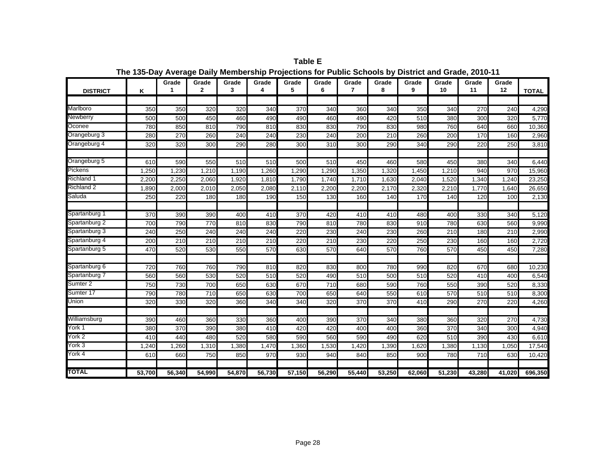| <b>DISTRICT</b>   | Κ      | Grade  | Grade<br>$\mathbf{2}$ | Grade<br>3 | Grade<br>4 | Grade<br>5 | Grade<br>6 | Grade<br>7      | Grade<br>8 | Grade<br>9 | Grade<br>10 | Grade<br>11 | Grade<br>12 | <b>TOTAL</b> |
|-------------------|--------|--------|-----------------------|------------|------------|------------|------------|-----------------|------------|------------|-------------|-------------|-------------|--------------|
|                   |        |        |                       |            |            |            |            |                 |            |            |             |             |             |              |
| Marlboro          | 350    | 350    | 320                   | 320        | 340        | 370        | 340        | 360             | 340        | 350        | 340         | 270         | 240         | 4,290        |
| <b>Newberry</b>   | 500    | 500    | 450                   | 460        | 490        | 490        | 460        | 490             | 420        | 510        | 380         | 300         | 320         | 5,770        |
| Oconee            | 780    | 850    | 810                   | 790        | 810        | 830        | 830        | 790             | 830        | 980        | 760         | 640         | 660         | 10,360       |
| Orangeburg 3      | 280    | 270    | 260                   | 240        | 240        | 230        | 240        | 200             | 210        | 260        | 200         | 170         | 160         | 2,960        |
| Orangeburg 4      | 320    | 320    | 300                   | 290        | 280        | 300        | 310        | 300             | 290        | 340        | 290         | 220         | 250         | 3,810        |
| Orangeburg 5      | 610    | 590    | 550                   | 510        | 510        | 500        | 510        | 450             | 460        | 580        | 450         | 380         | 340         | 6,440        |
| <b>Pickens</b>    | 1,250  | 1,230  | 1,210                 | 1,190      | 1,260      | 1,290      | 1,290      | 1,350           | 1,320      | 1,450      | 1,210       | 940         | 970         | 15,960       |
| <b>Richland 1</b> | 2,200  | 2,250  | 2,060                 | 1,920      | 1,810      | 1,790      | 1,740      | 1,710           | 1,630      | 2,040      | 1,520       | 1,340       | 1,240       | 23,250       |
| <b>Richland 2</b> | 1,890  | 2,000  | 2,010                 | 2,050      | 2,080      | 2,110      | 2,200      | 2,200           | 2,170      | 2,320      | 2,210       | 1,770       | 1,640       | 26,650       |
| Saluda            | 250    | 220    | 180                   | 180        | 190        | 150        | 130        | 160             | 140        | 170        | 140         | 120         | 100         | 2,130        |
| Spartanburg 1     | 370    | 390    | 390                   | 400        | 410        | 370        | 420        | 410             | 410        | 480        | 400         | 330         | 340         | 5,120        |
| Spartanburg 2     | 700    | 790    | 770                   | 810        | 830        | 790        | 810        | 780             | 830        | 910        | 780         | 630         | 560         | 9,990        |
| Spartanburg 3     | 240    | 250    | 240                   | 240        | 240        | 220        | 230        | 240             | 230        | 260        | 210         | 180         | 210         | 2,990        |
| Spartanburg 4     | 200    | 210    | 210                   | 210        | 210        | 220        | 210        | 230             | 220        | 250        | 230         | 160         | 160         | 2,720        |
| Spartanburg 5     | 470    | 520    | 530                   | 550        | 570        | 630        | 570        | 640             | 570        | 760        | 570         | 450         | 450         | 7,280        |
|                   |        |        |                       |            |            |            |            |                 |            |            |             |             |             |              |
| Spartanburg 6     | 720    | 760    | 760                   | 790        | 810        | 820        | 830        | 800             | 780        | 990        | 820         | 670         | 680         | 10,230       |
| Spartanburg 7     | 560    | 560    | 530                   | 520        | 510        | 520        | 490        | 510             | 500        | 510        | 520         | 410         | 400         | 6,540        |
| Sumter 2          | 750    | 730    | 700                   | 650        | 630        | 670        | 710        | <b>680</b>      | 590        | 760        | 550         | 390         | 520         | 8,330        |
| Sumter 17         | 790    | 780    | 710                   | 650        | 630        | 700        | 650        | 640             | 550        | 610        | 570         | 510         | 510         | 8,300        |
| Union             | 320    | 330    | 320                   | 360        | 340        | 340        | 320        | 370             | 370        | 410        | 290         | 270         | 220         | 4,260        |
| Williamsburg      | 390    | 460    | 360                   | 330        | 360        | 400        | 390        | 370             | 340        | 380        | 360         | 320         | 270         | 4,730        |
| York 1            | 380    | 370    | 390                   | 380        | 410        | 420        | 420        | 40 <sub>C</sub> | 400        | 360        | 370         | 340         | 300         | 4,940        |
| York 2            | 410    | 440    | 480                   | 520        | 580        | 590        | 560        | 590             | 490        | 620        | 510         | 390         | 430         | 6,610        |
| York 3            | 1,240  | 1,260  | 1,310                 | 1,380      | 1,470      | 1,360      | 1,530      | 1,420           | 1,390      | 1,620      | 1,380       | 1,130       | 1,050       | 17,540       |
| York 4            | 610    | 660    | 750                   | 850        | 970        | 930        | 940        | 840             | 850        | 900        | 780         | 710         | 630         | 10,420       |
| <b>TOTAL</b>      | 53,700 | 56,340 | 54,990                | 54,870     | 56,730     | 57,150     | 56,290     | 55,440          | 53,250     | 62,060     | 51,230      | 43,280      | 41.020      | 696,350      |

**Table E The 135-Day Average Daily Membership Projections for Public Schools by District and Grade, 2010-11**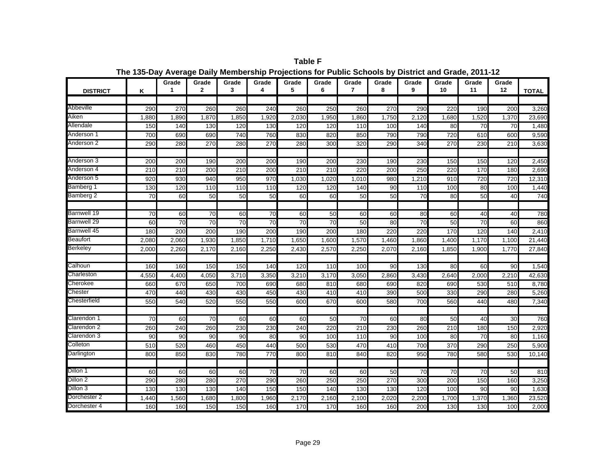| <b>DISTRICT</b> | Κ               | Grade<br>1       | Grade<br>$\mathbf{2}$ | Grade<br>3      | Grade<br>4      | Grade<br>5      | Grade<br>6      | Grade<br>$\overline{7}$ | Grade<br>8 | Grade<br>9      | Grade<br>10 | Grade<br>11     | Grade<br>12 | <b>TOTAL</b> |
|-----------------|-----------------|------------------|-----------------------|-----------------|-----------------|-----------------|-----------------|-------------------------|------------|-----------------|-------------|-----------------|-------------|--------------|
|                 |                 |                  |                       |                 |                 |                 |                 |                         |            |                 |             |                 |             |              |
| Abbeville       | 290             | 270              | 260                   | 260             | 240             | 260             | 250             | 260                     | 270        | 290             | 220         | 190             | 200         | 3,260        |
| Aiken           | 1,880           | 1,890            | 1,870                 | 1,850           | 1,920           | 2,030           | 1,950           | 1,860                   | 1,750      | 2,120           | 1,680       | 1,520           | 1,370       | 23,690       |
| Allendale       | 150             | 140              | 130                   | 120             | 130             | 120             | 120             | 110                     | 100        | 140             | 80          | 70              | 70          | 1,480        |
| Anderson 1      | 700             | 690              | 690                   | 740             | 760             | 830             | 820             | 850                     | 790        | 790             | 720         | 610             | 600         | 9,590        |
| Anderson 2      | 290             | 280              | 270                   | 280             | 270             | 280             | 300             | 320                     | 290        | 340             | 270         | 230             | 210         | 3,630        |
| Anderson 3      | 200             | 200              | 190                   | 200             | 200             | 190             | 200             | 230                     | 190        | 230             | 150         | 150             | 120         | 2,450        |
| Anderson 4      | 210             | $\overline{210}$ | 200                   | 210             | 200             | 210             | 210             | 220                     | 200        | 250             | 220         | 170             | 180         | 2,690        |
| Anderson 5      | 920             | 930              | 940                   | 950             | 970             | 1,030           | 1,020           | 1,010                   | 980        | 1,210           | 910         | 720             | 720         | 12,310       |
| Bamberg 1       | 130             | 120              | 110                   | 110             | 110             | 120             | 120             | 140                     | 90         | 110             | 100         | 80              | 100         | 1,440        |
| Bamberg 2       | 70              | 60               | 50                    | 50              | 50              | 60              | 60              | 50                      | 50         | 70              | 80          | 50              | 40          | 740          |
| Barnwell 19     | $\overline{70}$ | 60               | 70                    | 60              | 70              | 60              | 50              | 60                      | 60         | 80              | 60          | 40              | 40          | 780          |
| Barnwell 29     | 60              | $\overline{70}$  | $\overline{70}$       | $\overline{70}$ | $\overline{70}$ | $\overline{70}$ | $\overline{70}$ | 50                      | 80         | $\overline{70}$ | 50          | $\overline{70}$ | 60          | 860          |
| Barnwell 45     | 180             | 200              | 200                   | 190             | 200             | 190             | 200             | 180                     | 220        | 220             | 170         | 120             | 140         | 2,410        |
| Beaufort        | 2,080           | 2,060            | 1,930                 | 1,850           | 1,710           | 1,650           | 1,600           | 1,570                   | 1,460      | 1,860           | 1,400       | 1,170           | 1,100       | 21,440       |
| <b>Berkeley</b> | 2,000           | 2,260            | 2,170                 | 2,160           | 2,250           | 2,430           | 2,570           | 2,250                   | 2,070      | 2,160           | 1,850       | 1,900           | 1,770       | 27,840       |
|                 |                 |                  |                       |                 |                 |                 |                 |                         |            |                 |             |                 |             |              |
| Calhoun         | 160             | 160              | 150                   | 150             | 140             | 120             | 110             | 100                     | 90         | 130             | 80          | 60              | 90          | 1,540        |
| Charleston      | 4,550           | 4,400            | 4,050                 | 3,710           | 3,350           | 3,210           | 3,170           | 3,050                   | 2,860      | 3,430           | 2,640       | 2,000           | 2,210       | 42,630       |
| Cherokee        | 660             | 670              | 650                   | 700             | 690             | 680             | 810             | 680                     | 690        | 820             | 690         | 530             | 510         | 8,780        |
| Chester         | 470             | 440              | 430                   | 430             | 450             | 430             | 410             | 410                     | 390        | 500             | 330         | 290             | 280         | 5,260        |
| Chesterfield    | 550             | 540              | 520                   | 550             | 550             | 600             | 670             | 600                     | 580        | 700             | 560         | 440             | 480         | 7,340        |
| Clarendon 1     | 70              | 60               | 70                    | 60              | 60              | 60              | 50              | 70                      | 60         | 80              | 50          | 40              | 30          | 760          |
| Clarendon 2     | 260             | 240              | 260                   | 230             | 230             | 240             | 220             | 210                     | 230        | 260             | 210         | 180             | 150         | 2,920        |
| Clarendon 3     | 90              | 90               | 90                    | 90              | 80              | 90              | 100             | 110                     | 90         | 100             | 80          | 70              | 80          | 1,160        |
| Colleton        | 510             | 520              | 460                   | 450             | 440             | 500             | 530             | 470                     | 410        | 700             | 370         | 290             | 250         | 5,900        |
| Darlington      | 800             | 850              | 830                   | 780             | 770             | 800             | 810             | 840                     | 820        | 950             | 780         | 580             | 530         | 10,140       |
| Dillon 1        | 60              | 60               | 60                    | 60              | 70              | 70              | 60              | 60                      | 50         | 70              | 70          | 70              | 50          | 810          |
| Dillon 2        | 290             | 280              | 280                   | 270             | 290             | 260             | 250             | 250                     | 270        | 300             | 200         | 150             | 160         | 3,250        |
| Dillon 3        | 130             | 130              | 130                   | 140             | 150             | 150             | 140             | 130                     | 130        | 120             | 100         | 90              | 90          | 1,630        |
| Dorchester 2    | 1,440           | 1,560            | 1,680                 | 1,800           | 1,960           | 2,170           | 2,160           | 2,100                   | 2,020      | 2,200           | 1,700       | 1,370           | 1,360       | 23,520       |
| Dorchester 4    | 160             | 160              | 150                   | 150             | 160             | 170             | 170             | 160                     | 160        | 200             | 130         | 130             | 100         | 2,000        |

**Table F The 135-Day Average Daily Membership Projections for Public Schools by District and Grade, 2011-12**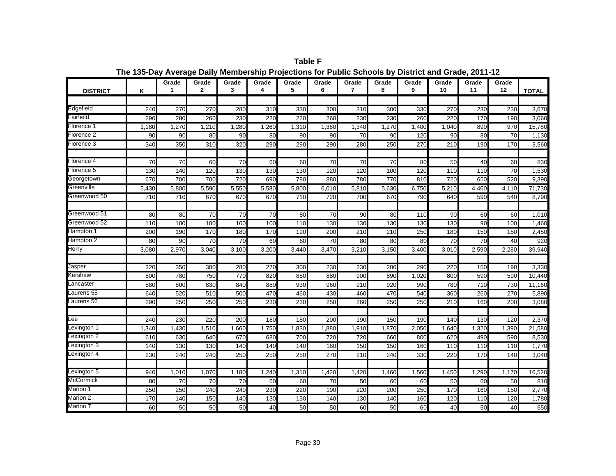| <b>DISTRICT</b> | K     | Grade<br>1 | Grade<br>$\mathbf{2}$ | Grade<br>3      | Grade<br>4 | Grade<br>5 | Grade<br>6      | Grade<br>7 | Grade<br>8 | Grade<br>9 | Grade<br>10     | Grade<br>11     | Grade<br>12 | <b>TOTAL</b> |
|-----------------|-------|------------|-----------------------|-----------------|------------|------------|-----------------|------------|------------|------------|-----------------|-----------------|-------------|--------------|
|                 |       |            |                       |                 |            |            |                 |            |            |            |                 |                 |             |              |
| Edgefield       | 240   | 270        | 270                   | 280             | 310        | 330        | 300             | 310        | 300        | 330        | 270             | 230             | 230         | 3,670        |
| Fairfield       | 290   | 280        | 260                   | 230             | 220        | 220        | 260             | 230        | 230        | 260        | 220             | 170             | 190         | 3,060        |
| Florence 1      | 1,180 | 1,270      | 1,210                 | 1,280           | 1,260      | 1,310      | 1,360           | 1,340      | 1,270      | 1,400      | 1,040           | 890             | 970         | 15,780       |
| Florence 2      | 90    | 90         | 80                    | 90              | 80         | 90         | 90              | 70         | 90         | 120        | 90              | 80              | 70          | 1,130        |
| Florence 3      | 340   | 350        | 310                   | 320             | 290        | 290        | 290             | 280        | 250        | 270        | 210             | 190             | 170         | 3,560        |
| Florence 4      | 70    | 70         | 60                    | 70              | 60         | 60         | 70              | 70         | 70         | 80         | 50              | 40              | 60          | 830          |
| Florence 5      | 130   | 140        | 120                   | 130             | 130        | 130        | 120             | 120        | 100        | 120        | 110             | 110             | 70          | 1,530        |
| Georgetown      | 670   | 700        | 700                   | 720             | 690        | 780        | 880             | 780        | 770        | 810        | 720             | 650             | 520         | 9,390        |
| Greenville      | 5,430 | 5,800      | 5,590                 | 5,550           | 5,580      | 5,800      | 6,010           | 5,810      | 5,630      | 6,750      | 5,210           | 4,460           | 4,110       | 71,730       |
| Greenwood 50    | 710   | 710        | 670                   | 670             | 670        | 710        | 720             | 700        | 670        | 790        | 640             | 590             | 540         | 8,790        |
|                 |       |            |                       |                 |            |            |                 |            |            |            |                 |                 |             |              |
| Greenwood 51    | 80    | 80         | 70                    | 70              | 70         | 80         | 70              | 90         | 80         | 110        | 90              | 60              | 60          | 1,010        |
| Greenwood 52    | 110   | 100        | 100                   | 100             | 100        | 110        | 130             | 130        | 130        | 130        | 130             | 90              | 100         | 1,460        |
| Hampton 1       | 200   | 190        | 170                   | 180             | 170        | 190        | 200             | 210        | 210        | 250        | 180             | 150             | 150         | 2,450        |
| Hampton 2       | 80    | 90         | $\overline{70}$       | $\overline{70}$ | 60         | 60         | $\overline{70}$ | 80         | 80         | 80         | $\overline{70}$ | $\overline{70}$ | 40          | 920          |
| Horry           | 3,080 | 2,970      | 3,040                 | 3,100           | 3,200      | 3,440      | 3,470           | 3,210      | 3,150      | 3,400      | 3,010           | 2,590           | 2,280       | 39,940       |
|                 |       |            |                       |                 |            |            |                 |            |            |            |                 |                 |             |              |
| Jasper          | 320   | 35C        | 300                   | 280             | 270        | 300        | 230             | 230        | 200        | 290        | 220             | 150             | 190         | 3,330        |
| Kershaw         | 800   | <b>780</b> | 750                   | 770             | 820        | 850        | 880             | 900        | 890        | 1.020      | 800             | 590             | 590         | 10,440       |
| _ancaster       | 880   | 800        | 830                   | 840             | 880        | 930        | 960             | 910        | 920        | 990        | 780             | 710             | 730         | 11,160       |
| aurens 55       | 640   | 520        | 510                   | 500             | 470        | 460        | 430             | 460        | 470        | 540        | 360             | 260             | 270         | 5,890        |
| Laurens 56      | 290   | 250        | 250                   | 250             | 230        | 230        | 250             | 260        | 250        | 250        | 210             | 160             | 200         | 3,080        |
| Lee             | 240   | 230        | 220                   | 200             | 180        | 180        | 200             | 190        | 150        | 190        | 140             | 130             | 120         | 2,370        |
| Lexington 1     | 1,340 | 1,430      | 1,510                 | 1,660           | 1,750      | 1,830      | 1,880           | 1,910      | 1,870      | 2,050      | 1,640           | 1,320           | 1,390       | 21,580       |
| Lexington 2     | 610   | 630        | 640                   | 670             | 680        | 700        | 720             | 720        | 660        | 800        | 620             | 490             | 590         | 8,530        |
| Lexington 3     | 140   | 130        | 130                   | 140             | 140        | 140        | 160             | 150        | 150        | 160        | 110             | 110             | 110         | 1,770        |
| Lexington 4     | 230   | 240        | 240                   | 250             | 250        | 250        | 270             | 210        | 240        | 330        | 220             | 170             | 140         | 3,040        |
| Lexington 5     | 940   | 1,010      | 1,070                 | 1,180           | 1,240      | 1,310      | 1,420           | 1,420      | 1,460      | 1,560      | 1,450           | 1,290           | 1,170       | 16,520       |
| McCormick       | 80    | 70         | 70                    | 70              | 60         | 60         | 70              | 50         | 60         | 60         | 50              | 60              | 50          | 810          |
| Marion 1        | 250   | 250        | 240                   | 240             | 230        | 220        | 190             | 220        | 200        | 250        | 170             | 160             | 150         | 2,770        |
| Marion 2        | 170   | 140        | 150                   | 140             | 130        | 130        | 140             | 130        | 140        | 160        | 120             | 110             | 120         | 1,780        |
| Marion 7        | 60    | 50         | 50                    | 50              | 40         | 50         | 50              | 60         | 50         | 60         | 40              | 50              | 40          | 650          |

**Table F The 135-Day Average Daily Membership Projections for Public Schools by District and Grade, 2011-12**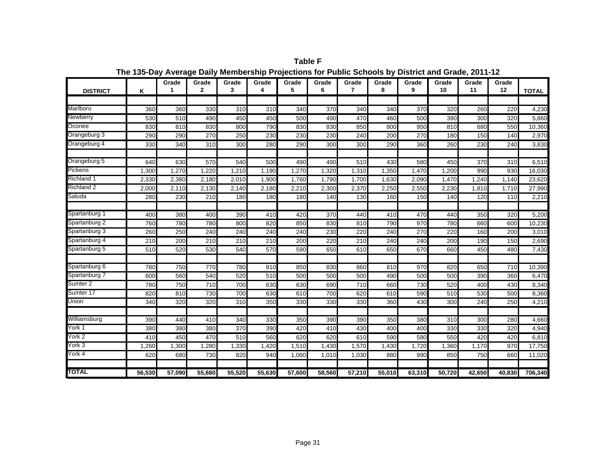| <b>DISTRICT</b>     | Κ      | Grade<br>1 | Grade<br>$\mathbf{2}$ | Grade<br>3 | Grade<br>4 | Grade<br>5 | Grade<br>6 | Grade<br>$\overline{7}$ | Grade<br>8 | Grade<br>9 | Grade<br>10 | Grade<br>11 | Grade<br>12 | <b>TOTAL</b> |
|---------------------|--------|------------|-----------------------|------------|------------|------------|------------|-------------------------|------------|------------|-------------|-------------|-------------|--------------|
|                     |        |            |                       |            |            |            |            |                         |            |            |             |             |             |              |
| Marlboro            | 360    | 360        | 330                   | 310        | 310        | 340        | 370        | 340                     | 340        | 370        | 320         | 260         | 220         | 4,230        |
| Newberry            | 530    | 510        | 490                   | 450        | 450        | 500        | 490        | 470                     | 460        | 500        | 390         | 300         | 320         | 5,860        |
| Oconee              | 830    | 810        | 830                   | 800        | 790        | 830        | 830        | 850                     | 800        | 950        | 810         | 680         | 550         | 10,360       |
| Orangeburg 3        | 290    | 290        | 270                   | 250        | 230        | 230        | 230        | 240                     | 200        | 270        | 180         | 150         | 140         | 2,970        |
| Orangeburg 4        | 330    | 340        | 310                   | 300        | 280        | 290        | 300        | 300                     | 290        | 360        | 260         | 230         | 240         | 3,830        |
| Orangeburg 5        | 640    | 630        | 570                   | 540        | 500        | 490        | 490        | 510                     | 430        | 580        | 450         | 370         | 310         | 6,510        |
| Pickens             | 1,300  | 1,270      | 1,220                 | 1,210      | 1,190      | 1,270      | 1,320      | 1,310                   | 1,350      | 1,470      | 1,200       | 990         | 930         | 16,030       |
| Richland 1          | 2,330  | 2,380      | 2,180                 | 2,010      | 1,900      | 1,760      | 1,790      | 1,700                   | 1,630      | 2,090      | 1,470       | 1,240       | 1.140       | 23,620       |
| Richland 2          | 2,000  | 2,110      | 2,130                 | 2,140      | 2,180      | 2,210      | 2,300      | 2,370                   | 2,250      | 2,550      | 2,230       | 1,810       | 1,710       | 27,990       |
| Saluda              | 280    | 230        | 210                   | 180        | 180        | 180        | 140        | 130                     | 160        | 150        | 140         | 120         | 110         | 2,210        |
|                     |        |            |                       |            |            |            |            |                         |            |            |             |             |             |              |
| Spartanburg 1       | 400    | 380        | 400                   | 390        | 410        | 420        | 370        | 440                     | 410        | 470        | 440         | 350         | 320         | 5,200        |
| Spartanburg 2       | 760    | 780        | 780                   | 800        | 820        | 850        | 830        | 810                     | 790        | 970        | 780         | 660         | 600         | 10,230       |
| Spartanburg 3       | 260    | 250        | 240                   | 240        | 240        | 240        | 230        | 220                     | 240        | 270        | 220         | 160         | 200         | 3,010        |
| Spartanburg 4       | 210    | 200        | 210                   | 210        | 210        | 200        | 220        | 210                     | 240        | 240        | 200         | 190         | 150         | 2,690        |
| Spartanburg 5       | 510    | 520        | 530                   | 540        | 570        | 590        | 650        | 610                     | 650        | 670        | 660         | 450         | 480         | 7,430        |
| Spartanburg 6       | 780    | 750        | 770                   | 780        | 810        | 850        | 830        | 860                     | 810        | 970        | 820         | 650         | 710         | 10,390       |
| Spartanburg 7       | 600    | 560        | 540                   | 520        | 510        | 500        | 500        | 500                     | 490        | 500        | 500         | 390         | 360         | 6,470        |
| Sumter <sub>2</sub> | 780    | 750        | 710                   | 700        | 630        | 630        | 690        | 710                     | 660        | 730        | 520         | 400         | 430         | 8,340        |
| Sumter 17           | 820    | 810        | 730                   | 700        | 630        | 610        | 700        | 620                     | 610        | 590        | 510         | 530         | 500         | 8,360        |
| Union               | 340    | 320        | 320                   | 310        | 350        | 330        | 330        | 330                     | 360        | 430        | 300         | 240         | 250         | 4,210        |
|                     |        |            |                       |            |            |            |            |                         |            |            |             |             |             |              |
| Williamsburg        | 390    | 440        | 410                   | 340        | 330        | 350        | 390        | 390                     | 350        | 380        | 310         | 300         | 280         | 4,660        |
| York 1              | 380    | 380        | 380                   | 370        | 390        | 420        | 410        | 430                     | 400        | 400        | 330         | 330         | 320         | 4,940        |
| York 2              | 410    | 450        | 470                   | 510        | 560        | 620        | 620        | 610                     | 590        | 580        | 550         | 420         | 420         | 6,810        |
| York 3              | 1,260  | 1,300      | 1,280                 | 1,330      | 1,420      | 1,510      | 1,430      | 1,570                   | 1,430      | 1,720      | 1,360       | 1,170       | 970         | 17,750       |
| York 4              | 620    | 680        | 730                   | 820        | 940        | 1,060      | 1,010      | 1,030                   | 880        | 990        | 850         | 750         | 660         | 11,020       |
| <b>TOTAL</b>        | 56,530 | 57,090     | 55,680                | 55,520     | 55,630     | 57,600     | 58,560     | 57,210                  | 55,010     | 63,310     | 50,720      | 42,650      | 40.830      | 706,340      |

**Table F The 135-Day Average Daily Membership Projections for Public Schools by District and Grade, 2011-12**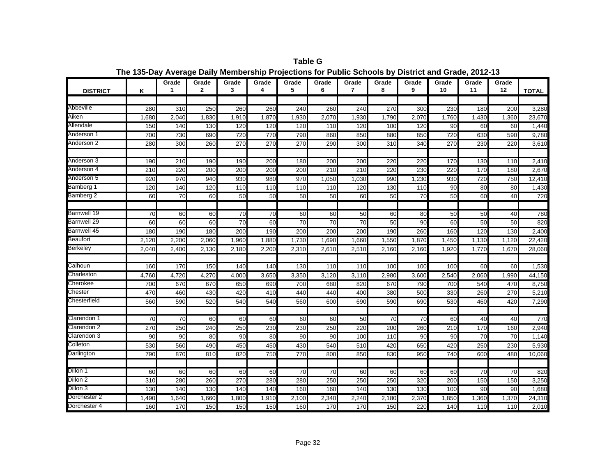| <b>DISTRICT</b> | Κ               | Grade<br>1       | Grade<br>$\mathbf{2}$ | Grade<br>3      | Grade<br>4      | Grade<br>5      | Grade<br>6      | Grade<br>$\overline{7}$ | Grade<br>8 | Grade<br>9       | Grade<br>10 | Grade<br>11     | Grade<br>12     | <b>TOTAL</b> |
|-----------------|-----------------|------------------|-----------------------|-----------------|-----------------|-----------------|-----------------|-------------------------|------------|------------------|-------------|-----------------|-----------------|--------------|
|                 |                 |                  |                       |                 |                 |                 |                 |                         |            |                  |             |                 |                 |              |
| Abbeville       | 280             | $\overline{310}$ | 250                   | 260             | 260             | 240             | 260             | 240                     | 270        | $\overline{300}$ | 230         | 180             | 200             | 3,280        |
| Aiken           | 1,680           | 2,040            | 1,830                 | 1,910           | 1,870           | 1,930           | 2,070           | 1,930                   | 1,790      | 2,070            | 1,760       | 1,430           | 1,360           | 23,670       |
| Allendale       | 150             | 140              | 130                   | 120             | 120             | 120             | 110             | 120                     | 100        | 120              | 90          | 60              | 60              | 1,440        |
| Anderson 1      | 700             | 730              | 690                   | 720             | 770             | 790             | 860             | 850                     | 880        | 850              | 720         | 630             | 590             | 9,780        |
| Anderson 2      | 280             | 300              | 260                   | 270             | 270             | 270             | 290             | 300                     | 310        | 340              | 270         | 230             | 220             | 3,610        |
| Anderson 3      | 190             | 210              | 190                   | 190             | 200             | 180             | 200             | 200                     | 220        | 220              | 170         | 130             | 110             | 2,410        |
| Anderson 4      | 210             | 220              | 200                   | 200             | 200             | 200             | 210             | 210                     | 220        | 230              | 220         | 170             | 180             | 2,670        |
| Anderson 5      | 920             | 970              | 940                   | 930             | 980             | 970             | 1,050           | 1,030                   | 990        | 1,230            | 930         | 720             | 750             | 12,410       |
| Bamberg 1       | 120             | 140              | 120                   | 110             | 110             | 110             | 110             | 120                     | 130        | 110              | 90          | 80              | 80              | 1,430        |
| Bamberg 2       | 60              | 70               | 60                    | 50              | 50              | 50              | 50              | 60                      | 50         | 70               | 50          | 60              | 40              | 720          |
| Barnwell 19     | $\overline{70}$ | 60               | 60                    | $\overline{70}$ | $\overline{70}$ | 60              | 60              | 50                      | 60         | 80               | 50          | 50              | 40              | 780          |
| Barnwell 29     | 60              | 60               | 60                    | 70              | 60              | 70              | 70              | $\overline{70}$         | 50         | 90               | 60          | 50              | 50              | 820          |
| Barnwell 45     | 180             | 190              | 180                   | 200             | 190             | 200             | 200             | 200                     | 190        | 260              | 160         | 120             | 130             | 2,400        |
| <b>Beaufort</b> | 2,120           | 2,200            | 2,060                 | 1,960           | 1,880           | 1,730           | 1,690           | 1,660                   | 1,550      | 1,870            | 1,450       | 1,130           | 1,120           | 22,420       |
| <b>Berkeley</b> | 2,040           | 2,400            | 2,130                 | 2,180           | 2,200           | 2,310           | 2,610           | 2,510                   | 2,160      | 2,160            | 1,920       | 1,770           | 1,670           | 28,060       |
|                 |                 |                  |                       |                 |                 |                 |                 |                         |            |                  |             |                 |                 |              |
| Calhoun         | 160             | 170              | 150                   | 140             | 140             | 130             | 110             | 110                     | 100        | 100              | 100         | 60              | 60              | 1,530        |
| Charleston      | 4,760           | 4,720            | 4,270                 | 4,000           | 3,650           | 3,350           | 3,120           | 3,110                   | 2,980      | 3,600            | 2,540       | 2,060           | 1,990           | 44,150       |
| Cherokee        | 700             | 670              | 670                   | 650             | 690             | 700             | 680             | 820                     | 670        | 790              | 700         | 540             | 470             | 8,750        |
| Chester         | 470             | 460              | 430                   | 420             | 410             | 440             | 440             | 400                     | 380        | 500              | 330         | 260             | 270             | 5,210        |
| Chesterfield    | 560             | 590              | 520                   | 540             | 540             | 560             | 600             | 690                     | 590        | 690              | 530         | 460             | 420             | 7,290        |
| Clarendon 1     | 70              | 70               | 60                    | 60              | 60              | 60              | 60              | 50                      | 70         | 70               | 60          | 40              | 40              | 770          |
| Clarendon 2     | 270             | 250              | 240                   | 250             | 230             | 230             | 250             | 220                     | 200        | 260              | 210         | 170             | 160             | 2,940        |
| Clarendon 3     | 90              | 90               | 80                    | 90              | 80              | 90              | 90              | 100                     | 110        | 90               | 90          | 70              | 70              | 1,140        |
| Colleton        | 530             | 560              | 490                   | 450             | 450             | 430             | 540             | 510                     | 420        | 650              | 420         | 250             | 230             | 5,930        |
| Darlington      | 790             | 870              | 810                   | 820             | 750             | 770             | 800             | 850                     | 830        | 950              | 740         | 600             | 480             | 10,060       |
| Dillon 1        | 60              | 60               | 60                    | 60              | 60              | $\overline{70}$ | $\overline{70}$ | 60                      | 60         | 60               | 60          | $\overline{70}$ | $\overline{70}$ | 820          |
| Dillon 2        | 310             | 280              | 260                   | 270             | 280             | 280             | 250             | 250                     | 250        | 320              | 200         | 150             | 150             | 3,250        |
| Dillon 3        | 130             | 140              | 130                   | 140             | 140             | 160             | 160             | 140                     | 130        | 130              | 100         | 90              | 90              | 1,680        |
| Dorchester 2    | 1.490           | 1.640            | 1,660                 | 1.800           | 1,910           | 2,100           | 2,340           | 2.240                   | 2,180      | 2,370            | 1,850       | 1,360           | 1,370           | 24,310       |
| Dorchester 4    | 160             | 170              | 150                   | 150             | 150             | 160             | 170             | 170                     | 150        | 220              | 140         | 110             | 110             | 2,010        |

**Table G The 135-Day Average Daily Membership Projections for Public Schools by District and Grade, 2012-13**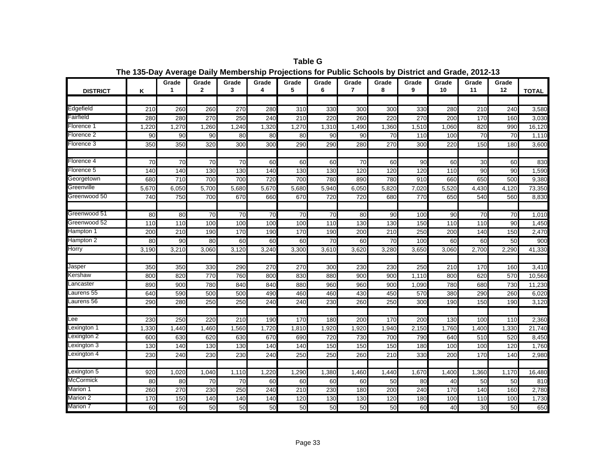| <b>DISTRICT</b>       | K               | Grade<br>1       | Grade<br>$\mathbf{2}$ | Grade<br>3       | Grade<br>4 | Grade<br>5 | Grade<br>6      | Grade<br>$\overline{7}$ | Grade<br>8      | Grade<br>9       | Grade<br>10 | Grade<br>11     | Grade<br>12 | <b>TOTAL</b> |
|-----------------------|-----------------|------------------|-----------------------|------------------|------------|------------|-----------------|-------------------------|-----------------|------------------|-------------|-----------------|-------------|--------------|
|                       |                 |                  |                       |                  |            |            |                 |                         |                 |                  |             |                 |             |              |
| Edgefield             | 210             | 260              | 260                   | 270              | 280        | 310        | 330             | 300                     | 300             | 330              | 280         | 210             | 240         | 3,580        |
| Fairfield             | 280             | 280              | 270                   | 250              | 240        | 210        | 220             | 260                     | 220             | 270              | 200         | 170             | 160         | 3,030        |
| Florence 1            | 1,220           | 1,270            | 1,260                 | 1,240            | 1,320      | 1,270      | 1,310           | 1,490                   | 1,360           | 1,510            | 1,060       | 820             | 990         | 16,120       |
| Florence <sub>2</sub> | 90              | 90               | 90                    | 80               | 80         | 80         | 90              | 90                      | 70              | 110              | 100         | $\overline{70}$ | 70          | 1,110        |
| Florence 3            | 350             | 350              | 320                   | 300              | 300        | 290        | 290             | 280                     | 270             | 300              | 220         | 150             | 180         | 3,600        |
|                       |                 |                  |                       |                  |            |            |                 |                         |                 |                  |             |                 |             |              |
| Florence 4            | $\overline{70}$ | $\overline{70}$  | $\overline{70}$       | $\overline{70}$  | 60         | 60         | 60              | $\overline{70}$         | 60              | 90               | 60          | 30              | 60          | 830          |
| Florence 5            | 140             | 140              | 130                   | 130              | 140        | 130        | 130             | 120                     | 120             | 120              | 110         | 90              | 90          | 1,590        |
| Georgetown            | 680             | 710              | 700                   | 700              | 720        | 700        | 780             | 890                     | 780             | 910              | 660         | 650             | 500         | 9,380        |
| Greenville            | 5,670           | 6,050            | 5,700                 | 5,680            | 5,670      | 5,680      | 5,940           | 6,050                   | 5,820           | 7,020            | 5,520       | 4,430           | 4,120       | 73,350       |
| Greenwood 50          | 740             | 750              | 700                   | 670              | 660        | 670        | 720             | 720                     | 680             | 770              | 650         | 540             | 560         | 8,830        |
| Greenwood 51          | 80              | 80               | 70                    | 70               | 70         | 70         | 70              | 80                      | 90              | 100              | 90          | 70              | 70          | 1,010        |
| Greenwood 52          | 110             | 110              | 100                   | 100              | 100        | 100        | 110             | 130                     | 130             | 150              | 110         | 110             | 90          | 1,450        |
| Hampton 1             | 200             | $\overline{210}$ | 190                   | 170              | 190        | 170        | 190             | 200                     | 210             | 250              | 200         | 140             | 150         | 2,470        |
| Hampton 2             | 80              | 90               | 80                    | 60               | 60         | 60         | $\overline{70}$ | 60                      | $\overline{70}$ | 100              | 60          | 60              | 50          | 900          |
| Horry                 | 3,190           | 3,210            | 3,060                 | 3,120            | 3,240      | 3,300      | 3,610           | 3,620                   | 3,280           | 3,650            | 3,060       | 2,700           | 2,290       | 41,330       |
|                       |                 |                  |                       |                  |            |            |                 |                         |                 |                  |             |                 |             |              |
| Jasper                | 350             | 350              | 330                   | 290              | 270        | 270        | 300             | 230                     | 230             | 250              | 210         | 170             | 160         | 3,410        |
| Kershaw               | 800             | 820              | 770                   | 760              | 800        | 830        | 880             | 900                     | 900             | 1,110            | 800         | 620             | 570         | 10,560       |
| Lancaster             | 890             | 900              | 780                   | 840              | 840        | 880        | 960             | 960                     | 900             | 1,090            | 780         | 680             | 730         | 11,230       |
| Laurens 55            | 640             | 590              | 500                   | 500              | 490        | 460        | 460             | 430                     | 450             | 570              | 380         | 290             | 260         | 6,020        |
| Laurens 56            | 290             | 280              | 250                   | $\overline{250}$ | 240        | 240        | 230             | 260                     | 250             | $\overline{300}$ | 190         | 150             | 190         | 3,120        |
| Lee                   | 230             | 250              | 220                   | 210              | 190        | 170        | 180             | 200                     | 170             | 200              | 130         | 100             | 110         | 2,360        |
| Lexington 1           | 1,330           | 1,440            | 1,460                 | 1,560            | 1,720      | 1,810      | 1,920           | 1,920                   | 1,940           | 2,150            | 1,760       | 1,400           | 1,330       | 21,740       |
| Lexington 2           | 600             | 630              | 620                   | 630              | 670        | 690        | 720             | 730                     | 700             | 790              | 640         | 510             | 520         | 8,450        |
| Lexington 3           | 130             | 140              | 130                   | 130              | 140        | 140        | 150             | 150                     | 150             | 180              | 100         | 100             | 120         | 1,760        |
| Lexington 4           | 230             | 240              | 230                   | 230              | 240        | 250        | 250             | 260                     | 210             | 330              | 200         | 170             | 140         | 2,980        |
|                       |                 |                  |                       |                  |            |            |                 |                         |                 |                  |             |                 |             |              |
| Lexington 5           | 920             | 1,020            | 1,040                 | 1,110            | 1,220      | 1,290      | 1,380           | 1,460                   | 1,440           | 1,670            | 1,400       | 1,360           | 1,170       | 16,480       |
| McCormick             | 80              | 80               | 70                    | 70               | 60         | 60         | 60              | 60                      | 50              | 80               | 40          | 50              | 50          | 810          |
| Marion 1              | 260             | 270              | 230                   | 250              | 240        | 210        | 230             | 180                     | 200             | 240              | 170         | 140             | 160         | 2,780        |
| Marion 2              | 170             | 150              | 140                   | 140              | 140        | 120        | 130             | 130                     | 120             | 180              | 100         | 110             | 100         | 1,730        |
| Marion 7              | 60              | 60               | 50                    | 50               | 50         | 50         | 50              | 50                      | 50              | 60               | 40          | 30              | 50          | 650          |

**Table G The 135-Day Average Daily Membership Projections for Public Schools by District and Grade, 2012-13**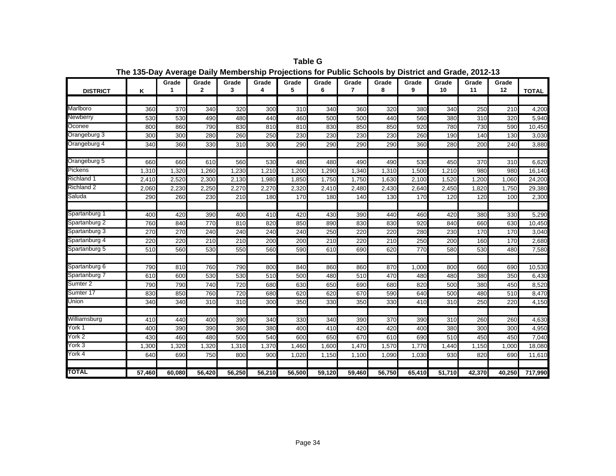| <b>DISTRICT</b>   | Κ      | Grade  | Grade<br>$\mathbf{2}$ | Grade<br>3 | Grade<br>4 | Grade<br>5 | Grade<br>6 | Grade<br>7      | Grade<br>8 | Grade<br>9 | Grade<br>10 | Grade<br>11 | Grade<br>12 | <b>TOTAL</b> |
|-------------------|--------|--------|-----------------------|------------|------------|------------|------------|-----------------|------------|------------|-------------|-------------|-------------|--------------|
|                   |        |        |                       |            |            |            |            |                 |            |            |             |             |             |              |
| Marlboro          | 360    | 370    | 340                   | 320        | 300        | 310        | 340        | 360             | 320        | 380        | 340         | 250         | 210         | 4,200        |
| <b>Newberry</b>   | 530    | 530    | 490                   | 480        | 440        | 460        | 500        | 500             | 440        | 560        | 380         | 310         | 320         | 5,940        |
| Oconee            | 800    | 860    | 790                   | 830        | 810        | 810        | 830        | 850             | 850        | 920        | 780         | 730         | 590         | 10,450       |
| Orangeburg 3      | 300    | 300    | 280                   | 260        | 250        | 230        | 230        | 230             | 230        | 260        | 190         | 140         | 130         | 3,030        |
| Orangeburg 4      | 340    | 360    | 330                   | 310        | 300        | 290        | 290        | 290             | 290        | 360        | 280         | 200         | 240         | 3,880        |
| Orangeburg 5      | 660    | 660    | 610                   | 560        | 530        | 480        | 480        | 490             | 490        | 530        | 450         | 370         | 310         | 6,620        |
| <b>Pickens</b>    | 1,310  | 1,320  | 1,260                 | 1,230      | 1,210      | 1,200      | 1,290      | 1,340           | 1,310      | 1,500      | 1,210       | 980         | 980         | 16,140       |
| <b>Richland 1</b> | 2,410  | 2,520  | 2,300                 | 2,130      | 1,980      | 1,850      | 1,750      | 1,750           | 1,630      | 2,100      | 1,520       | 1,200       | 1,060       | 24,200       |
| <b>Richland 2</b> | 2,060  | 2,230  | 2,250                 | 2,270      | 2,270      | 2,320      | 2,410      | 2,480           | 2,430      | 2,640      | 2,450       | 1,820       | 1,750       | 29,380       |
| Saluda            | 290    | 260    | 230                   | 210        | 180        | 170        | 180        | 140             | 130        | 170        | 120         | 120         | 100         | 2,300        |
| Spartanburg 1     | 400    | 420    | 390                   | 400        | 410        | 420        | 430        | 390             | 440        | 460        | 420         | 380         | 330         | 5,290        |
| Spartanburg 2     | 760    | 840    | 770                   | 810        | 820        | 850        | 890        | 830             | 830        | 920        | 840         | 660         | 630         | 10,450       |
| Spartanburg 3     | 270    | 270    | 240                   | 240        | 240        | 240        | 250        | 220             | 220        | 280        | 230         | 170         | 170         | 3,040        |
| Spartanburg 4     | 220    | 220    | 210                   | 210        | 200        | 200        | 210        | 220             | 210        | 250        | 200         | 160         | 170         | 2,680        |
| Spartanburg 5     | 510    | 560    | 530                   | 550        | 560        | 590        | 610        | 690             | 620        | 770        | 580         | 530         | 480         | 7,580        |
|                   |        |        |                       |            |            |            |            |                 |            |            |             |             |             |              |
| Spartanburg 6     | 790    | 810    | 760                   | 790        | 800        | 840        | 860        | 860             | 870        | 1,000      | 800         | 660         | 690         | 10,530       |
| Spartanburg 7     | 610    | 600    | 530                   | 530        | 510        | 500        | 480        | 510             | 470        | 480        | 480         | 380         | 350         | 6,430        |
| Sumter 2          | 790    | 790    | 740                   | 720        | 680        | 630        | 650        | 69 <sub>C</sub> | 680        | 820        | 500         | 380         | 450         | 8,520        |
| Sumter 17         | 830    | 850    | 760                   | 720        | 680        | 620        | 620        | 670             | 590        | 640        | 500         | 480         | 510         | 8,470        |
| Union             | 340    | 340    | 310                   | 310        | 300        | 350        | 330        | 350             | 330        | 410        | 310         | 250         | 220         | 4,150        |
| Williamsburg      | 410    | 440    | 400                   | 390        | 340        | 330        | 340        | 390             | 370        | 390        | 310         | 260         | 260         | 4,630        |
| York 1            | 400    | 390    | 390                   | 360        | 380        | 400        | 410        | 420             | 420        | 400        | 380         | 300         | 300         | 4,950        |
| York 2            | 430    | 460    | 480                   | 500        | 540        | 600        | 650        | 670             | 610        | 690        | 510         | 450         | 450         | 7,040        |
| York 3            | 1,300  | 1,320  | 1,320                 | 1,310      | 1,370      | 1,460      | 1,600      | 1,470           | 1,570      | 1,770      | 1,440       | 1,150       | 1,000       | 18,080       |
| York 4            | 640    | 690    | 750                   | 800        | 900        | 1,020      | 1,150      | 1,100           | 1,090      | 1,030      | 930         | 820         | 690         | 11,610       |
| <b>TOTAL</b>      | 57,460 | 60.080 | 56,420                | 56,250     | 56,210     | 56,500     | 59,120     | 59,460          | 56,750     | 65,410     | 51,710      | 42,370      | 40.250      | 717,990      |

**Table G The 135-Day Average Daily Membership Projections for Public Schools by District and Grade, 2012-13**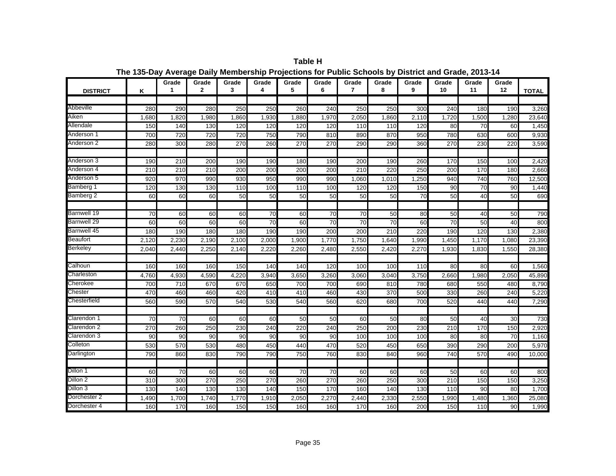| <b>DISTRICT</b> | Κ               | Grade<br>1      | Grade<br>$\mathbf{2}$ | Grade<br>3 | Grade<br>4      | Grade<br>5       | Grade<br>6      | Grade<br>$\overline{7}$ | Grade<br>8 | Grade<br>9      | Grade<br>10     | Grade<br>11     | Grade<br>12 | <b>TOTAL</b> |
|-----------------|-----------------|-----------------|-----------------------|------------|-----------------|------------------|-----------------|-------------------------|------------|-----------------|-----------------|-----------------|-------------|--------------|
|                 |                 |                 |                       |            |                 |                  |                 |                         |            |                 |                 |                 |             |              |
| Abbeville       | 280             | 290             | 280                   | 250        | 250             | 260              | 240             | 250                     | 250        | 300             | 240             | 180             | 190         | 3,260        |
| Aiken           | 1,680           | 1,820           | 1,980                 | 1,860      | 1,930           | 1,880            | 1,970           | 2,050                   | 1,860      | 2,110           | 1,720           | 1,500           | 1,280       | 23,640       |
| Allendale       | 150             | 140             | 130                   | 120        | 120             | 120              | 120             | 110                     | 110        | 120             | $\overline{80}$ | $\overline{70}$ | 60          | 1,450        |
| Anderson 1      | 700             | 720             | 720                   | 720        | 750             | 790              | 810             | 890                     | 870        | 950             | 780             | 630             | 600         | 9,930        |
| Anderson 2      | 280             | 300             | 280                   | 270        | 260             | 270              | 270             | 290                     | 290        | 360             | 270             | 230             | 220         | 3,590        |
|                 |                 |                 |                       |            |                 |                  |                 |                         |            |                 |                 |                 |             |              |
| Anderson 3      | 190             | 210             | 200                   | 190        | 190             | 180              | 190             | 200                     | 190        | 260             | 170             | 150             | 100         | 2,420        |
| Anderson 4      | 210             | 210             | 210                   | 200        | 200             | 200              | 200             | 210                     | 220        | 250             | 200             | 170             | 180         | 2,660        |
| Anderson 5      | 920             | 970             | 990                   | 930        | 950             | 990              | 990             | 1,060                   | 1,010      | 1,250           | 940             | 740             | 760         | 12,500       |
| Bamberg 1       | 120             | 130             | 130                   | 110        | 100             | 110              | 100             | 120                     | 120        | 150             | 90              | $\overline{70}$ | 90          | 1,440        |
| Bamberg 2       | 60              | 60              | 60                    | 50         | 50              | 50               | 50              | 50                      | 50         | $\overline{70}$ | 50              | 40              | 50          | 690          |
| Barnwell 19     | $\overline{70}$ | 60              | 60                    | 60         | $\overline{70}$ | 60               | $\overline{70}$ | $\overline{70}$         | 50         | 80              | 50              | 40              | 50          | 790          |
| Barnwell 29     | 60              | 60              | 60                    | 60         | $\overline{70}$ | 60               | 70              | $\overline{70}$         | 70         | 60              | $\overline{70}$ | 50              | 40          | 800          |
| Barnwell 45     | 180             | 190             | 180                   | 180        | 190             | 190              | 200             | 200                     | 210        | 220             | 190             | 120             | 130         | 2,380        |
| <b>Beaufort</b> | 2,120           | 2,230           | 2,190                 | 2,100      | 2,000           | 1,900            | 1,770           | 1,750                   | 1,640      | 1,990           | 1,450           | 1,170           | 1,080       | 23,390       |
| <b>Berkeley</b> | 2,040           | 2,440           | 2,250                 | 2,140      | 2,220           | 2,260            | 2,480           | 2,550                   | 2,420      | 2,270           | 1,930           | 1,830           | 1,550       | 28,380       |
|                 |                 |                 |                       |            |                 |                  |                 |                         |            |                 |                 |                 |             |              |
| Calhoun         | 160             | 160             | 160                   | 150        | 140             | 140              | 120             | 100                     | 100        | 110             | 80              | 80              | 60          | 1,560        |
| Charleston      | 4,760           | 4,930           | 4,590                 | 4,220      | 3,940           | 3,650            | 3,260           | 3,060                   | 3,040      | 3,750           | 2,660           | 1,980           | 2,050       | 45,890       |
| Cherokee        | 700             | 710             | 670                   | 670        | 650             | 700              | 700             | 690                     | 810        | 780             | 680             | 550             | 480         | 8,790        |
| Chester         | 470             | 460             | 460                   | 420        | 410             | 410              | 460             | 430                     | 370        | 500             | 330             | 260             | 240         | 5,220        |
| Chesterfield    | 560             | 590             | 570                   | 540        | 530             | 540              | 560             | 620                     | 680        | 700             | 520             | 440             | 440         | 7,290        |
| Clarendon 1     | 70              | 70              | 60                    | 60         | 60              | 50               | 50              | 60                      | 50         | 80              | 50              | 40              | 30          | 730          |
| Clarendon 2     | 270             | 260             | 250                   | 230        | 240             | $\overline{220}$ | 240             | 250                     | 200        | 230             | 210             | 170             | 150         | 2,920        |
| Clarendon 3     | 90              | 90              | 90                    | 90         | 90              | 90               | 90              | 100                     | 100        | 100             | 80              | 80              | 70          | 1,160        |
| Colleton        | 530             | 570             | 530                   | 480        | 450             | 440              | 470             | 520                     | 450        | 650             | 390             | 290             | 200         | 5,970        |
| Darlington      | 790             | 860             | 830                   | 790        | 790             | 750              | 760             | 830                     | 840        | 960             | 740             | 570             | 490         | 10,000       |
|                 |                 |                 |                       |            |                 |                  |                 |                         |            |                 |                 |                 |             |              |
| Dillon 1        | 60              | $\overline{70}$ | 60                    | 60         | 60              | $\overline{70}$  | $\overline{70}$ | 60                      | 60         | 60              | 50              | 60              | 60          | 800          |
| Dillon 2        | 310             | 300             | 270                   | 250        | 270             | 260              | 270             | 260                     | 250        | 300             | 210             | 150             | 150         | 3,250        |
| Dillon 3        | 130             | 140             | 130                   | 130        | 140             | 150              | 170             | 160                     | 140        | 130             | 110             | 90              | 80          | 1,700        |
| Dorchester 2    | 1.490           | 1,700           | 1,740                 | 1.770      | 1,910           | 2,050            | 2,270           | 2.440                   | 2,330      | 2,550           | 1,990           | 1,480           | 1.360       | 25,080       |
| Dorchester 4    | 160             | 170             | 160                   | 150        | 150             | 160              | 160             | 170                     | 160        | 200             | 150             | 110             | 90          | 1,990        |

**Table H The 135-Day Average Daily Membership Projections for Public Schools by District and Grade, 2013-14**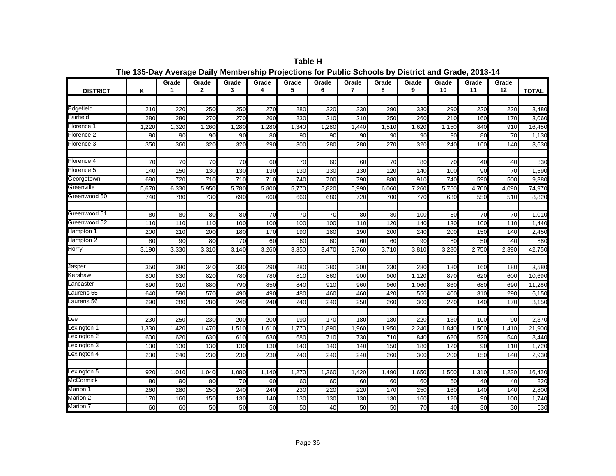| <b>DISTRICT</b> | K               | Grade<br>1 | Grade<br>$\mathbf{2}$ | Grade<br>3       | Grade<br>4      | Grade<br>5      | Grade<br>6 | Grade<br>$\overline{7}$ | Grade<br>8      | Grade<br>9       | Grade<br>10     | Grade<br>11     | Grade<br>12 | <b>TOTAL</b> |
|-----------------|-----------------|------------|-----------------------|------------------|-----------------|-----------------|------------|-------------------------|-----------------|------------------|-----------------|-----------------|-------------|--------------|
|                 |                 |            |                       |                  |                 |                 |            |                         |                 |                  |                 |                 |             |              |
| Edgefield       | 210             | 220        | 250                   | 250              | 270             | 280             | 320        | 330                     | 290             | 330              | 290             | 220             | 220         | 3,480        |
| Fairfield       | 280             | 280        | 270                   | 270              | 260             | 230             | 210        | 210                     | 250             | 260              | 210             | 160             | 170         | 3,060        |
| Florence 1      | 1,220           | 1,320      | 1,260                 | 1,280            | 1,280           | 1,340           | 1,280      | 1,440                   | 1,510           | 1,620            | 1,150           | 840             | 910         | 16,450       |
| Florence 2      | 90              | 90         | 90                    | 90               | 80              | 90              | 90         | 90                      | 90              | 90               | 90              | 80              | 70          | 1,130        |
| Florence 3      | 350             | 360        | 320                   | $\overline{320}$ | 290             | 300             | 280        | 280                     | 270             | 320              | 240             | 160             | 140         | 3,630        |
| Florence 4      | $\overline{70}$ | 70         | $\overline{70}$       | $\overline{70}$  | 60              | $\overline{70}$ | 60         | 60                      | $\overline{70}$ | 80               | $\overline{70}$ | 40              | 40          | 830          |
| Florence 5      | 140             | 150        | 130                   | 130              | 130             | 130             | 130        | 130                     | 120             | 140              | 100             | 90              | 70          | 1,590        |
| Georgetown      | 680             | 720        | 710                   | 710              | 710             | 740             | 700        | 790                     | 880             | 910              | 740             | 590             | 500         | 9,380        |
| Greenville      | 5,670           | 6,330      | 5,950                 | 5,780            | 5,800           | 5,770           | 5,820      | 5,990                   | 6,060           | 7,260            | 5,750           | 4,700           | 4,090       | 74,970       |
| Greenwood 50    | 740             | 780        | 730                   | 690              | 660             | 660             | 680        | 720                     | 700             | 770              | 630             | 550             | 510         | 8,820        |
| Greenwood 51    | 80              | 80         | 80                    | 80               | $\overline{70}$ | $\overline{70}$ | 70         | 80                      | 80              | 100              | 80              | $\overline{70}$ | 70          | 1,010        |
| Greenwood 52    | 110             | 110        | 110                   | 100              | 100             | 100             | 100        | 110                     | 120             | 140              | 130             | 100             | 110         | 1,440        |
| Hampton 1       | 200             | 210        | 200                   | 180              | 170             | 190             | 180        | 190                     | 200             | 240              | 200             | 150             | 140         | 2,450        |
| Hampton 2       | 80              | 90         | 80                    | 70               | 60              | 60              | 60         | 60                      | 60              | 90               | 80              | 50              | 40          | 880          |
| Horry           | 3,190           | 3,330      | 3,310                 | 3,140            | 3,260           | 3,350           | 3,470      | 3,760                   | 3,710           | 3,810            | 3,280           | 2,750           | 2,390       | 42,750       |
|                 |                 |            |                       |                  |                 |                 |            |                         |                 |                  |                 |                 |             |              |
| Jasper          | 350             | 380        | 340                   | 330              | 290             | 280             | 280        | 300                     | 230             | 280              | 180             | 160             | 180         | 3,580        |
| Kershaw         | 800             | 830        | 820                   | 780              | 780             | 810             | 860        | 900                     | 900             | 1,120            | 870             | 620             | 600         | 10,690       |
| _ancaster       | 890             | 910        | 880                   | 790              | 850             | 840             | 910        | 960                     | 960             | 1,060            | 860             | 680             | 690         | 11,280       |
| Laurens 55      | 640             | 590        | 570                   | 490              | 490             | 480             | 460        | 460                     | 420             | 550              | 400             | 310             | 290         | 6,150        |
| Laurens 56      | 290             | 280        | 280                   | 240              | 240             | 240             | 240        | 250                     | 260             | 300              | 220             | 140             | 170         | 3,150        |
| Lee             | 230             | 250        | 230                   | 200              | 200             | 190             | 170        | 180                     | 180             | 220              | 130             | 100             | 90          | 2,370        |
| Lexington 1     | 1,330           | 1,420      | 1,470                 | 1,510            | 1,610           | 1,770           | 1,890      | 1,960                   | 1,950           | 2,240            | 1,840           | 1,500           | 1,410       | 21,900       |
| Lexington 2     | 600             | 620        | 630                   | 610              | 630             | 680             | 710        | 730                     | 710             | 840              | 620             | 520             | 540         | 8,440        |
| Lexington 3     | 130             | 130        | 130                   | 130              | 130             | 140             | 140        | 140                     | 150             | 180              | 120             | 90              | 110         | 1,720        |
| Lexington 4     | 230             | 240        | 230                   | 230              | 230             | 240             | 240        | 240                     | 260             | $\overline{300}$ | 200             | 150             | 140         | 2,930        |
| Lexington 5     | 920             | 1,010      | 1,040                 | 1,080            | 1,140           | 1,270           | 1,360      | 1,420                   | 1,490           | 1,650            | 1,500           | 1,310           | 1,230       | 16,420       |
| McCormick       | 80              | 90         | 80                    | 70               | 60              | 60              | 60         | 60                      | 60              | 60               | 60              | 40              | 40          | 820          |
| Marion 1        | 260             | 280        | 250                   | 240              | 240             | 230             | 220        | 220                     | 170             | 250              | 160             | 140             | 140         | 2,800        |
| Marion 2        | 170             | 160        | 150                   | 130              | 140             | 130             | 130        | 130                     | 130             | 160              | 120             | 90              | 100         | 1,740        |
| Marion 7        | 60              | 60         | 50                    | 50               | 50              | 50              | 40         | 50                      | 50              | 70               | 40              | 30              | 30          | 630          |

**Table H The 135-Day Average Daily Membership Projections for Public Schools by District and Grade, 2013-14**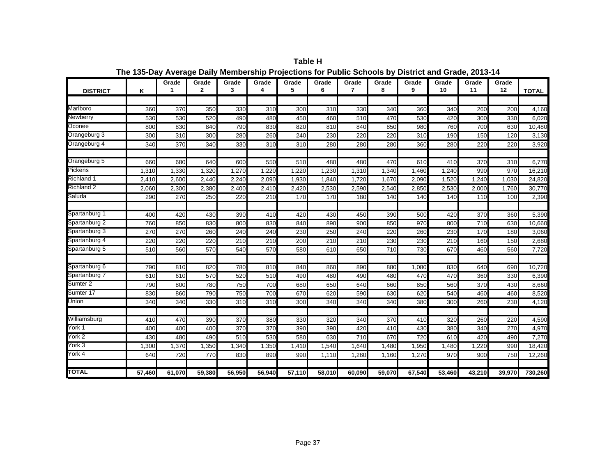| <b>DISTRICT</b>     | Κ      | Grade  | Grade<br>$\mathbf{2}$ | Grade<br>3 | Grade<br>4 | Grade<br>5 | Grade<br>6 | Grade<br>7 | Grade<br>8 | Grade<br>9 | Grade<br>10 | Grade<br>11        | Grade<br>12 | <b>TOTAL</b> |
|---------------------|--------|--------|-----------------------|------------|------------|------------|------------|------------|------------|------------|-------------|--------------------|-------------|--------------|
|                     |        |        |                       |            |            |            |            |            |            |            |             |                    |             |              |
| Marlboro            | 360    | 370    | 350                   | 330        | 310        | 300        | 310        | 330        | 340        | 360        | 340         | 260                | 200         | 4,160        |
| <b>Newberry</b>     | 530    | 530    | 520                   | 490        | 480        | 450        | 460        | 510        | 470        | 530        | 420         | 300                | 330         | 6,020        |
| Oconee              | 800    | 830    | 840                   | 790        | 830        | 820        | 810        | 840        | 850        | 980        | 760         | 700                | 630         | 10,480       |
| Orangeburg 3        | 300    | 310    | 300                   | 280        | 260        | 240        | 230        | 220        | 220        | 310        | 190         | 150                | 120         | 3,130        |
| Orangeburg 4        | 340    | 370    | 340                   | 330        | 310        | 310        | 280        | 280        | 280        | 360        | 280         | 220                | 220         | 3,920        |
| Orangeburg 5        | 660    | 680    | 640                   | 600        | 550        | 510        | 480        | 480        | 470        | 610        | 410         | 370                | 310         | 6,770        |
| <b>Pickens</b>      | 1,310  | 1,330  | 1,320                 | 1,270      | 1,220      | 1,220      | 1,230      | 1,310      | 1,340      | 1,460      | 1,240       | 990                | 970         | 16,210       |
| <b>Richland 1</b>   | 2,410  | 2,600  | 2,440                 | 2,240      | 2,090      | 1,930      | 1,840      | 1,720      | 1,670      | 2,090      | 1,520       | 1,240              | 1,030       | 24,820       |
| Richland 2          | 2,060  | 2,300  | 2,380                 | 2,400      | 2,410      | 2,420      | 2,530      | 2,590      | 2,540      | 2,850      | 2,530       | $\overline{2,000}$ | 1,760       | 30,770       |
| Saluda              | 290    | 270    | 250                   | 220        | 210        | 170        | 170        | 180        | 140        | 140        | 140         | 110                | 100         | 2,390        |
| Spartanburg 1       | 400    | 420    | 430                   | 390        | 410        | 420        | 430        | 450        | 390        | 500        | 420         | 370                | 360         | 5,390        |
| Spartanburg 2       | 760    | 850    | 830                   | 800        | 830        | 840        | 890        | 900        | 850        | 970        | 800         | 710                | 630         | 10,660       |
| Spartanburg 3       | 270    | 270    | 260                   | 240        | 240        | 230        | 250        | 240        | 220        | 260        | 230         | 170                | 180         | 3,060        |
| Spartanburg 4       | 220    | 220    | 220                   | 210        | 210        | 200        | 210        | 210        | 230        | 230        | 210         | 160                | 150         | 2,680        |
| Spartanburg 5       | 510    | 560    | 570                   | 540        | 570        | 580        | 610        | 650        | 710        | 730        | 670         | 460                | 560         | 7,720        |
| Spartanburg 6       | 790    | 810    | 820                   | 780        | 810        | 840        | 860        | 890        | 880        | 1,080      | 830         | 640                | 690         | 10,720       |
| Spartanburg 7       | 610    | 610    | 570                   | 520        | 510        | 490        | 480        | 490        | 480        | 470        | 470         | 360                | 330         | 6,390        |
| Sumter <sub>2</sub> | 790    | 800    | 780                   | 750        | 700        | 680        | 650        | 640        | 660        | 850        | 560         | 370                | 430         | 8,660        |
| Sumter 17           | 830    | 860    | 790                   | 750        | 700        | 670        | 620        | 590        | 630        | 620        | 540         | 460                | 460         | 8,520        |
| Union               | 340    | 340    | 330                   | 310        | 310        | 300        | 340        | 340        | 340        | 380        | 300         | 260                | 230         | 4,120        |
| Williamsburg        | 410    | 470    | 390                   | 370        | 380        | 330        | 320        | 340        | 370        | 410        | 320         | 260                | 220         | 4,590        |
| York 1              | 400    | 400    | 400                   | 370        | 370        | 390        | 390        | 420        | 410        | 430        | 380         | 340                | 270         | 4,970        |
| York 2              | 430    | 480    | 490                   | 510        | 530        | 580        | 630        | 710        | 670        | 720        | 610         | 420                | 490         | 7,270        |
| York 3              | 1,300  | 1,370  | 1,350                 | 1,340      | 1,350      | 1,410      | 1,540      | 1,640      | 1,480      | 1,950      | 1,480       | 1,220              | 990         | 18,420       |
| York 4              | 640    | 720    | 770                   | 830        | 890        | 990        | 1,110      | 1,260      | 1,160      | 1,270      | 970         | 900                | 750         | 12,260       |
| <b>TOTAL</b>        | 57,460 | 61,070 | 59,380                | 56,950     | 56,940     | 57,110     | 58.010     | 60,090     | 59.070     | 67,540     | 53,460      | 43,210             | 39.970      | 730,260      |

**Table H The 135-Day Average Daily Membership Projections for Public Schools by District and Grade, 2013-14**